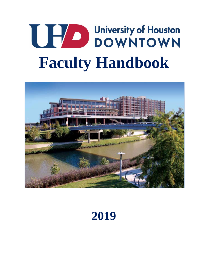# **THE MANUSIUM STATE OF STATE STATES SERVING STATES SERVING STATES SERVING STATES SERVING SERVING STATES SERVING SERVING SERVING SERVING SERVING SERVING SERVING SERVING SERVING SERVING SERVING SERVING SERVING SERVING SERVIN Faculty Handbook**



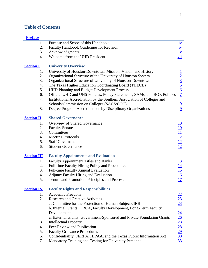# **Table of Contents**

# **Preface**

| 1.                                                                            | Purpose and Scope of this Handbook                                       |                                                                          |
|-------------------------------------------------------------------------------|--------------------------------------------------------------------------|--------------------------------------------------------------------------|
| 2.                                                                            | <b>Faculty Handbook Guidelines for Revision</b>                          | $\frac{iv}{iv}$                                                          |
| 3.                                                                            | Acknowledgments                                                          |                                                                          |
| 4.                                                                            | Welcome from the UHD President                                           | $\frac{v}{vii}$                                                          |
|                                                                               |                                                                          |                                                                          |
| <b>Section I</b>                                                              | <b>University Overview</b>                                               |                                                                          |
| 1.                                                                            | University of Houston-Downtown: Mission, Vision, and History             |                                                                          |
| 2.                                                                            | Organizational Structure of the University of Houston System             |                                                                          |
| 3.                                                                            | Organizational Structure of University of Houston-Downtown               | $\frac{1}{2}$ $\frac{3}{5}$ $\frac{6}{7}$                                |
| 4.                                                                            | The Texas Higher Education Coordinating Board (THECB)                    |                                                                          |
| 5.                                                                            | <b>UHD Planning and Budget Development Process</b>                       |                                                                          |
| 6.                                                                            | Official UHD and UHS Policies: Policy Statements, SAMs, and BOR Policies |                                                                          |
| 7.<br>Institutional Accreditation by the Southern Association of Colleges and |                                                                          |                                                                          |
|                                                                               | Schools/Commission on Colleges (SACS/COC)                                |                                                                          |
| 8.                                                                            | Degree Program Accreditations by Disciplinary Organizations              | $\frac{9}{9}$                                                            |
|                                                                               |                                                                          |                                                                          |
| <b>Section II</b>                                                             | <b>Shared Governance</b>                                                 |                                                                          |
| 1.                                                                            | Overview of Shared Governance                                            |                                                                          |
| 2.                                                                            | <b>Faculty Senate</b>                                                    |                                                                          |
| 3.                                                                            | Committees                                                               | $\frac{10}{10}$<br>$\frac{11}{12}$<br>$\frac{12}{12}$                    |
| 4.                                                                            | <b>Meeting Protocols</b>                                                 |                                                                          |
| 5.                                                                            | <b>Staff Governance</b>                                                  |                                                                          |
| 6.                                                                            | <b>Student Governance</b>                                                |                                                                          |
|                                                                               |                                                                          |                                                                          |
| <b>Section III</b>                                                            | <b>Faculty Appointments and Evaluation</b>                               |                                                                          |
| 1.                                                                            | <b>Faculty Appointment Titles and Ranks</b>                              |                                                                          |
| 2.                                                                            | Full-time Faculty Hiring Policy and Procedures                           | $\frac{13}{14}$<br>$\frac{15}{16}$<br>$\frac{16}{17}$                    |
| 3.                                                                            | Full-time Faculty Annual Evaluation                                      |                                                                          |
| 4.                                                                            | <b>Adjunct Faculty Hiring and Evaluation</b>                             |                                                                          |
| 5.                                                                            | Tenure and Promotion: Principles and Process                             |                                                                          |
| <b>Section IV</b>                                                             | <b>Faculty Rights and Responsibilities</b>                               |                                                                          |
| 1.                                                                            | Academic Freedom                                                         |                                                                          |
| 2.                                                                            | <b>Research and Creative Activities</b>                                  | $\frac{22}{23}$<br>$\frac{23}{23}$                                       |
|                                                                               | a. Committee for the Protection of Human Subjects/IRB                    |                                                                          |
|                                                                               | b. Internal Grants: ORCA, Faculty Development, Long-Term Faculty         |                                                                          |
|                                                                               | Development                                                              |                                                                          |
|                                                                               | c. External Grants: Government-Sponsored and Private Foundation Grants   |                                                                          |
| 3.                                                                            | <b>Intellectual Property</b>                                             |                                                                          |
| 4.                                                                            | Peer Review and Publication                                              |                                                                          |
| 5.                                                                            | <b>Faculty Grievance Procedures</b>                                      |                                                                          |
| 6.                                                                            | Confidentiality, FERPA, HIPAA, and the Texas Public Information Act      |                                                                          |
| 7.                                                                            | Mandatory Training and Testing for University Personnel                  | $\frac{24}{26}$<br>$\frac{28}{28}$<br>$\frac{28}{29}$<br>$\frac{30}{33}$ |
|                                                                               |                                                                          |                                                                          |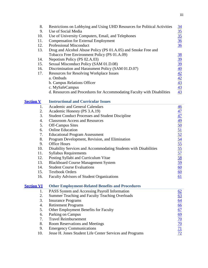| 8.  | Restrictions on Lobbying and Using UHD Resources for Political Activities | <u>34</u>       |
|-----|---------------------------------------------------------------------------|-----------------|
| 9.  | Use of Social Media                                                       |                 |
| 10. | Use of University Computers, Email, and Telephones                        | $\frac{35}{35}$ |
| 11. | <b>Compensation for External Employment</b>                               | <u>36</u>       |
| 12. | <b>Professional Misconduct</b>                                            | 36              |
| 13. | Drug and Alcohol Abuse Policy (PS 01.A.05) and Smoke Free and             |                 |
|     | Tobacco Free Environment Policy (PS 01.A.09)                              |                 |
| 14. | Nepotism Policy (PS 02.A.03)                                              | $\frac{38}{39}$ |
| 15. | Sexual Misconduct Policy (SAM 01.D.08)                                    | <u>39</u>       |
| 16. | Discrimination and Harassment Policy (SAM 01.D.07)                        | $\overline{40}$ |
| 17. | <b>Resources for Resolving Workplace Issues</b>                           |                 |
|     | a. Ombuds                                                                 | $\frac{42}{42}$ |
|     | b. Campus Relations Officer                                               |                 |
|     | c. MySafeCampus                                                           | 43              |
|     | d. Resources and Procedures for Accommodating Faculty with Disabilities   | 43              |

| <b>Section V</b> | <b>Instructional and Curricular Issues</b> |  |
|------------------|--------------------------------------------|--|
|                  |                                            |  |

| 1.                | Academic and General Calendars                                   |                                                                                                                                                                                 |
|-------------------|------------------------------------------------------------------|---------------------------------------------------------------------------------------------------------------------------------------------------------------------------------|
| 2.                | Academic Honesty (PS 3.A.19)                                     |                                                                                                                                                                                 |
| 3.                | <b>Student Conduct Processes and Student Discipline</b>          |                                                                                                                                                                                 |
| 4.                | <b>Classroom Access and Resources</b>                            |                                                                                                                                                                                 |
| 5.                | <b>Off-Campus Sites</b>                                          |                                                                                                                                                                                 |
| 6.                | <b>Online Education</b>                                          |                                                                                                                                                                                 |
| 7.                | <b>Educational Program Assessment</b>                            |                                                                                                                                                                                 |
| 8.                | Program Development, Revision, and Elimination                   |                                                                                                                                                                                 |
| 9.                | <b>Office Hours</b>                                              |                                                                                                                                                                                 |
| 10.               | Disability Services and Accommodating Students with Disabilities | $\frac{46}{47}$ $\frac{47}{47}$ $\frac{49}{50}$ $\frac{50}{52}$ $\frac{52}{52}$ $\frac{54}{55}$ $\frac{55}{55}$ $\frac{55}{55}$ $\frac{57}{58}$ $\frac{58}{59}$ $\frac{60}{59}$ |
| 11.               | <b>Syllabus Requirements</b>                                     |                                                                                                                                                                                 |
| 12.               | Posting Syllabi and Curriculum Vitae                             |                                                                                                                                                                                 |
| 13.               | <b>Blackboard Course Management System</b>                       |                                                                                                                                                                                 |
| 14.               | <b>Student Course Evaluations</b>                                |                                                                                                                                                                                 |
| 15.               | <b>Textbook Orders</b>                                           | $\underline{60}$                                                                                                                                                                |
| 16.               | <b>Faculty Advisors of Student Organizations</b>                 | 61                                                                                                                                                                              |
| <b>Section VI</b> | <b>Other Employment-Related Benefits and Procedures</b>          |                                                                                                                                                                                 |
| 1.                | PASS System and Accessing Payroll Information                    |                                                                                                                                                                                 |
| 2.                | Summer Teaching and Faculty Teaching Overloads                   |                                                                                                                                                                                 |
| 3.                | <b>Insurance Programs</b>                                        |                                                                                                                                                                                 |
| 4.                | <b>Retirement Programs</b>                                       |                                                                                                                                                                                 |
| 5.                | Other Employment Benefits for Faculty                            |                                                                                                                                                                                 |
| 6.                | Parking on Campus                                                |                                                                                                                                                                                 |
| 7.                | <b>Travel Reimbursement</b>                                      | $\frac{62}{63}$ $\frac{64}{66}$ $\frac{67}{70}$ $\frac{70}{70}$                                                                                                                 |
| 8.                | <b>Room Reservations and Meetings</b>                            |                                                                                                                                                                                 |
|                   |                                                                  | $-11$                                                                                                                                                                           |

9. Emergency Communications  $\frac{71}{72}$ <br>10. Jesse H. Jones Student Life Center Services and Programs  $\frac{71}{72}$ Jesse H. Jones Student Life Center Services and Programs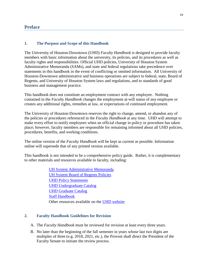# **Preface**

## **1. The Purpose and Scope of this Handbook**

The University of Houston-Downtown (UHD) *Faculty Handbook* is designed to provide faculty members with basic information about the university, its policies, and its procedures as well as faculty rights and responsibilities. Official UHD policies, University of Houston System Administrative Memoranda (SAMs), and state and federal regulations take precedence over statements in this handbook in the event of conflicting or omitted information. All University of Houston-Downtown administrative and business operations are subject to federal, state, Board of Regents, and University of Houston System laws and regulations, and to standards of good business and management practice.

This handbook does not constitute an employment contract with any employee. Nothing contained in the *Faculty Handbook* changes the employment at-will status of any employee or creates any additional rights, remedies at law, or expectations of continued employment.

The University of Houston-Downtown reserves the right to change, amend, or abandon any of the policies or procedures referenced in the *Faculty Handbook* at any time. UHD will attempt to make every effort to notify employees when an official change in policy or procedure has taken place; however, faculty members are responsible for remaining informed about all UHD policies, procedures, benefits, and working conditions.

The online version of the *Faculty Handbook* will be kept as current as possible. Information online will supersede that of any printed version available.

This handbook is not intended to be a comprehensive policy guide. Rather, it is complementary to other materials and resources available to faculty, including:

> UH System Administrative Memoranda UH System Board of Regents Policies UHD Policy Statements UHD Undergraduate Catalog UHD Graduate Catalog Staff Handbook Other resources available on the UHD website

## **2. Faculty Handbook Guidelines for Revision**

- A. The *Faculty Handbook* must be reviewed for revision at least every three years.
- B. No later than the beginning of the fall semester in years whose last two digits are multiples of three (e.g. 2018, 2021, etc.), the Provost shall direct the President of the Faculty Senate to initiate the review process.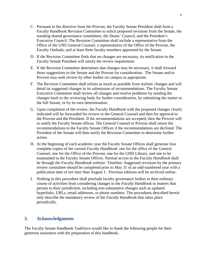- C. Pursuant to the directive from the Provost, the Faculty Senate President shall form a Faculty Handbook Revision Committee to solicit proposed revisions from the Senate, the standing shared governance committees, the Deans' Council, and the President's Executive Council. The Revision Committee shall include a representative from the Office of the UHS General Counsel, a representative of the Office of the Provost, the Faculty Ombuds, and at least three faculty members appointed by the Senate.
- D. If the Revision Committee finds that no changes are necessary, its notification to the Faculty Senate President will satisfy the review requirement.
- E. If the Revision Committee determines that changes may be necessary, it shall forward those suggestions to the Senate and the Provost for consideration. The Senate and/or Provost may seek review by other bodies on campus as appropriate.
- F. The Revision Committee shall refrain as much as possible from stylistic changes and will detail its suggested changes in its submission of recommendations. The Faculty Senate Executive Committee shall review all changes and resolve problems by sending the changes back to the reviewing body for further consideration, by submitting the matter to the full Senate, or by its own determination.
- G. Upon completion of the review, the *Faculty Handbook* with the proposed changes clearly indicated will be forwarded for review to the General Counsel and then for approval to the Provost and the President. If the recommendations are accepted, then the Provost will so notify the Faculty Senate offices. The General Counsel or Provost shall return the recommendations to the Faculty Senate Offices if the recommendations are declined. The President of the Senate will then notify the Revision Committee to determine further action.
- H. At the beginning of each academic year the Faculty Senate Offices shall generate four complete copies of the current *Faculty Handbook*: one for the office of the General Counsel, one for the Office of the Provost, one for the UHD Library, and one to be maintained in the Faculty Senate Offices. Normal access to the *Faculty Handbook* shall be through the *Faculty Handbook* website. Timeline: Suggested revisions by the primary review committee should be completed prior to May 31 of an odd-numbered year with a publication date of not later than August 1. Previous editions will be archived online.
- I. Nothing in this procedure shall preclude faculty governance bodies in their ordinary course of activities from considering changes in the *Faculty Handbook* in matters that pertain to their jurisdiction, including non-substantive changes such as updated hyperlinks, URLs, email addresses, or phone numbers. The procedures described herein only describe the mandatory review of the *Faculty Handbook* that takes place periodically.

# **3. Acknowledgments**

The Faculty Senate Handbook Taskforce would like to thank the following people for their generous assistance with the preparation of this handbook.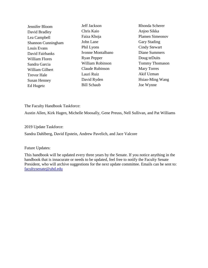| Jennifer Bloom      | Jeff Jackson           | Rhonda Scherer         |
|---------------------|------------------------|------------------------|
| David Bradley       | Chris Kaio             | Anjoo Sikka            |
| Lea Campbell        | Faiza Khoja            | <b>Plamen Simeonov</b> |
| Shannon Cunningham  | John Lane              | <b>Gary Stading</b>    |
| Louis Evans         | Phil Lyons             | <b>Cindy Stewart</b>   |
| David Fairbanks     | Ivonne Montalbano      | Diane Summers          |
| William Flores      | <b>Ryan Pepper</b>     | Doug teDuits           |
| Sandra Garcia       | William Robinson       | Tommy Thomason         |
| William Gilbert     | <b>Claude Rubinson</b> | <b>Mary Torres</b>     |
| <b>Trevor Hale</b>  | Lauri Ruiz             | Akif Uzman             |
| <b>Susan Henney</b> | David Ryden            | Hsiao-Ming Wang        |
| Ed Hugetz           | <b>Bill Schaub</b>     | Joe Wynne              |
|                     |                        |                        |

The Faculty Handbook Taskforce:

Austin Allen, Kirk Hagen, Michelle Moosally, Gene Preuss, Nell Sullivan, and Pat Williams

## 2019 Update Taskforce:

Sandra Dahlberg, David Epstein, Andrew Pavelich, and Jace Valcore

## Future Updates:

This handbook will be updated every three years by the Senate. If you notice anything in the handbook that is innacurate or needs to be updated, feel free to notify the Faculty Senate President, who will archive suggestions for the next update committee. Emails can be sent to: [facultysenate@uhd.edu](mailto:facultysenate@uhd.edu)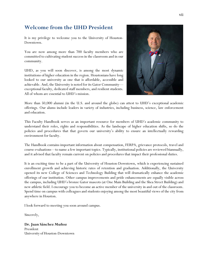# **Welcome from the UHD President**

It is my privilege to welcome you to the University of Houston-Downtown.

You are now among more than 700 faculty members who are committed to cultivating student success in the classroom and in our community.

UHD, as you will soon discover, is among the most dynamic institutions of higher education in the region. Houstonians have long looked to our university as one that is affordable, accessible and achievable. And, the University is noted for its Gator Community exceptional faculty, dedicated staff members, and resilient students. All of whom are essential to UHD's mission.



More than 50,000 alumni (in the U.S. and around the globe) can attest to UHD's exceptional academic offerings. Our alums include leaders in variety of industries, including business, science, law enforcement and education.

This Faculty Handbook serves as an important resource for members of UHD's academic community to understand their roles, rights and responsibilities. As the landscape of higher education shifts, so do the policies and procedures that that govern our university's ability to ensure an intellectually rewarding environment for faculty.

The Handbook contains important information about compensation, FERPA, grievance protocols, travel and course evaluations—to name a few important topics. Typically, institutional policiesare reviewed biannually, and it advised that faculty remain current on policies and procedures that impact their professional duties.

It is an exciting time to be a part of the University of Houston-Downtown, which is experiencing sustained enrollment growth and achieving historic rates of retention and graduation. Additionally, the University opened its new College of Sciences and Technology Building that will dramatically enhance the academic offerings of our institution. Other campus improvements and pride enhancements are equally visible across the campus, including UHD's bronze Gator mascots (at One Main Building and the Shea Street Building) and new athletic field. I encourage you to become an active member of the university in and out of the classroom. Spend time on campus with colleagues and students enjoying among the most beautiful views of the city from anywhere in Houston.

I look forward to meeting you soon around campus.

Sincerely,

**Dr. Juan Sánchez Muñoz** President University of Houston-Downtown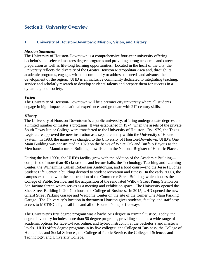# **Section I: University Overview**

## **1. University of Houston-Downtown: Mission, Vision, and History**

## *Mission Statement*

The University of Houston-Downtown is a comprehensive four-year university offering bachelor's and selected master's degree programs and providing strong academic and career preparation as well as life-long learning opportunities. Located in the heart of the city, the University reflects the diversity of the Greater Houston Metropolitan Area and, through its academic programs, engages with the community to address the needs and advance the development of the region. UHD is an inclusive community dedicated to integrating teaching, service and scholarly research to develop students' talents and prepare them for success in a dynamic global society.

## *Vision*

The University of Houston-Downtown will be a premier city university where all students engage in high-impact educational experiences and graduate with  $21<sup>st</sup>$  century skills.

## *History*

The University of Houston-Downtown is a public university, offering undergraduate degrees and a limited number of master's programs. It was established in 1974, when the assets of the private South Texas Junior College were transferred to the University of Houston. By 1979, the Texas Legislature approved the new institution as a separate entity within the University of Houston System. In 1983, the name was changed to the University of Houston-Downtown. UHD's One Main Building was constructed in 1929 on the banks of White Oak and Buffalo Bayous as the Merchants and Manufacturers Building, now listed in the National Register of Historic Places.

During the late 1990s, the UHD's facility grew with the addition of the Academic Building comprised of more than 40 classrooms and lecture halls, the Technology Teaching and Learning Center, the Wilhelmina Cullen Robertson Auditorium, and a food court—and the Jesse H. Jones Student Life Center, a building devoted to student recreation and fitness. In the early 2000s, the campus expanded with the construction of the Commerce Street Building, which houses the College of Public Service, and the acquisition of the renovated Willow Street Pump Station on San Jacinto Street, which serves as a meeting and exhibition space. The University opened the Shea Street Building in 2007 to house the College of Business. In 2015, UHD opened the new Girard Street Parking Garage and Welcome Center on the site of the former One Main Parking Garage. The University's location in downtown Houston gives students, faculty, and staff easy access to METRO's light rail line and all of Houston's major freeways.

The University's first degree program was a bachelor's degree in criminal justice. Today, the degree inventory includes more than 50 degree programs, providing students a wide range of academic options for face-to-face, online, and hybrid instruction at the bachelor's and master's levels. UHD offers degree programs in its five colleges: the College of Business, the College of Humanities and Social Sciences, the College of Public Service, the College of Sciences and Technology, and University College.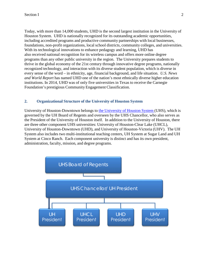Today, with more than 14,000 students, UHD is the second largest institution in the University of Houston System. UHD is nationally recognized for its outstanding academic opportunities, including accredited programs and productive community partnerships with local businesses, foundations, non-profit organizations, local school districts, community colleges, and universities. With its technological innovations to enhance pedagogy and learning, UHD has also received national recognition for its wireless campus and offers more online degree programs than any other public university in the region. The University prepares students to thrive in the global economy of the 21st century through innovative degree programs, nationally recognized technology, and interaction with its diverse student population, which is diverse in every sense of the word – in ethnicity, age, financial background, and life situation. *U.S. News and World Report* has named UHD one of the nation's most ethnically diverse higher education institutions. In 2014, UHD was of only five universities in Texas to receive the Carnegie Foundation's prestigious Community Engagement Classification.

## **2. Organizational Structure of the University of Houston System**

University of Houston-Downtown belongs to the University of Houston System (UHS), which is governed by the UH Board of Regents and overseen by the UHS Chancellor, who also serves as the President of the University of Houston itself. In addition to the University of Houston, there are three other component UHS universities: University of Houston-Clear Lake (UHCL), University of Houston-Downtown (UHD), and University of Houston-Victoria (UHV). The UH System also includes two multi-institutional teaching centers, UH System at Sugar Land and UH System at Cinco Ranch. Each component university is distinct and has its own president, administration, faculty, mission, and degree programs.

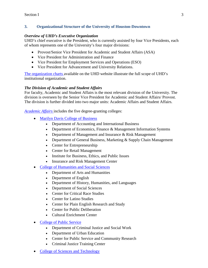# **3. Organizational Structure of the University of Houston-Downtown**

## *Overview of UHD's Executive Organization*

UHD's chief executive is the President, who is currently assisted by four Vice Presidents, each of whom represents one of the University's four major divisions:

- Provost/Senior Vice President for Academic and Student Affairs (ASA)
- Vice President for Administration and Finance
- Vice President for Employment Services and Operations (ESO)
- Vice President for Advancement and University Relations.

The organization charts available on the UHD website illustrate the full scope of UHD's institutional organization.

# *The Division of Academic and Student Affairs*

For faculty, Academic and Student Affairs is the most relevant division of the University. The division is overseen by the Senior Vice President for Academic and Student Affairs/ Provost. The division is further divided into two major units: Academic Affairs and Student Affairs.

*Academic Affairs* includes the five degree-granting colleges:

- Marilyn Davis College of Business
	- Department of Accounting and International Business
	- Department of Economics, Finance & Management Information Systems
	- Department of Management and Insurance & Risk Management
	- Department of General Business, Marketing & Supply Chain Management
	- Center for Entrepreneurship
	- Center for Retail Management
	- Institute for Business, Ethics, and Public Issues
	- Insurance and Risk Management Center
- College of Humanities and Social Sciences
	- Department of Arts and Humanities
	- Department of English
	- Department of History, Humanities, and Languages
	- Department of Social Sciences
	- Center for Critical Race Studies
	- Center for Latino Studies
	- Center for Plain English Research and Study
	- Center for Public Deliberation
	- Cultural Enrichment Center
- College of Public Service
	- Department of Criminal Justice and Social Work
	- Department of Urban Education
	- Center for Public Service and Community Research
	- Criminal Justice Training Center
- College of Sciences and Technology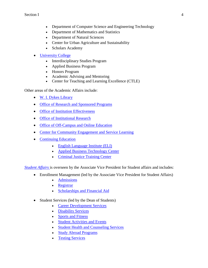- Department of Computer Science and Engineering Technology
- Department of Mathematics and Statistics
- Department of Natural Sciences
- Center for Urban Agriculture and Sustainability
- Scholars Academy

# • University College

- Interdisciplinary Studies Program
- Applied Business Program
- Honors Program
- Academic Advising and Mentoring
- Center for Teaching and Learning Excellence (CTLE)

Other areas of the Academic Affairs include:

- W. I. Dykes Library
- Office of Research and Sponsored Programs
- Office of Institution Effectiveness
- Office of Institutional Research
- Office of Off-Campus and Online Education
- Center for Community Engagement and Service Learning
- Continuing Education
	- English Language Institute (ELI)
	- Applied Business Technology Center
	- Criminal Justice Training Center

*Student Affairs* is overseen by the Associate Vice President for Student affairs and includes:

- Enrollment Management (led by the Associate Vice President for Student Affairs)
	- Admissions
	- Registrar
	- Scholarships and Financial Aid
- Student Services (led by the Dean of Students)
	- Career Development Services
	- Disability Services
	- Sports and Fitness
	- Student Activities and Events
	- Student Health and Counseling Services
	- Study Abroad Programs
	- Testing Services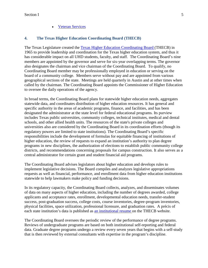## • Veteran Services

## **4. The Texas Higher Education Coordinating Board (THECB)**

The Texas Legislature created the Texas Higher Education Coordinating Board (THECB) in 1965 to provide leadership and coordination for the Texas higher education system, and thus it has considerable impact on all UHD students, faculty, and staff. The Coordinating Board's nine members are appointed by the governor and serve for six-year overlapping terms. The governor also designates the chairman and vice chairman of the Coordinating Board. To qualify, no Coordinating Board member may be professionally employed in education or serving on the board of a community college. Members serve without pay and are appointed from various geographical sections of the state. Meetings are held quarterly in Austin and at other times when called by the chairman. The Coordinating Board appoints the Commissioner of Higher Education to oversee the daily operations of the agency.

In broad terms, the Coordinating Board plans for statewide higher education needs, aggregates statewide data, and coordinates distribution of higher education resources. It has general and specific authority in the areas of academic programs, finance, and facilities, and has been designated the administrator at the state level for federal educational programs. Its purview includes Texas public universities, community colleges, technical institutes, medical and dental schools, and other allied health units. The resources of the state's private colleges and universities also are considered by the Coordinating Board in its coordination efforts (though its regulatory powers are limited to state institutions). The Coordinating Board's specific responsibilities include the development of formulas for equitable financing of institutions of higher education, the review of requests to expand an institution's authority to plan degree programs in new disciplines, the authorization of elections to establish public community college districts, and recommendations concerning proposals for campus construction. It also serves as a central administrator for certain grant and student financial aid programs.

The Coordinating Board advises legislators about higher education and develops rules to implement legislative decisions. The Board compiles and analyzes legislative appropriations requests as well as financial, performance, and enrollment data from higher education institutions statewide to help lawmakers make policy and funding decisions.

In its regulatory capacity, the Coordinating Board collects, analyzes, and disseminates volumes of data on many aspects of higher education, including the number of degrees awarded, college applicants and acceptance rates, enrollment, developmental education needs, transfer-student success, post-graduation success, college costs, course inventories, degree-program inventories, physical facilities, space utilization, professional licensure, and graduation rates. A précis of each state institution's data is published as an institutional resume on the THECB website.

The Coordinating Board oversees the periodic review of the performance of degree programs. Reviews of undergraduate programs are based on both institutional self-reporting and federal data. Graduate degree programs undergo a review every seven years that begins with a self-study that is then reviewed by external consultants with expertise in the program's discipline.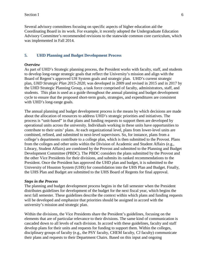Several advisory committees focusing on specific aspects of higher education aid the Coordinating Board in its work. For example, it recently adopted the Undergraduate Education Advisory Committee's recommended revisions to the statewide common core curriculum, which was implemented in Fall 2014.

## **5. UHD Planning and Budget Development Process**

#### *Overview*

As part of UHD's Strategic planning process, the President works with faculty, staff, and students to develop long-range strategic goals that reflect the University's mission and align with the Board of Regent's approved UH System goals and strategic plan. UHD's current strategic plan, *UHD Strategic Plan 2015-2020*, was developed in 2009 and revised in 2015 and in 2017 by the UHD Strategic Planning Group, a task force comprised of faculty, administrators, staff, and students. This plan is used as a guide throughout the annual planning and budget development cycle to ensure that the proposed short-term goals, strategies, and expenditures are consistent with UHD's long-range goals.

The annual planning and budget development process is the means by which decisions are made about the allocation of resources to address UHD's strategic priorities and initiatives. The process is "unit-based" in that plans and funding requests to support them are developed by operational units across the university. Individuals working in these units have opportunities to contribute to their units' plans. At each organizational level, plans from lower-level units are combined, refined, and submitted to next-level supervisors. So, for instance, plans from a college's departments contribute to a college plan, which is then submitted to the Provost. Plans from the colleges and other units within the Division of Academic and Student Affairs (e.g., Library, Student Affairs) are combined by the Provost and submitted to the Planning and Budget Development Committee (PBDC). The PBDC considers the plans submitted by the Provost and the other Vice Presidents for their divisions, and submits its ranked recommendations to the President. Once the President has approved the UHD plan and budget, it is submitted to the University of Houston System (UHS) for consolidation into the UHS Plan and Budget. Finally, the UHS Plan and Budget are submitted to the UHS Board of Regents for final approval.

#### *Steps in the Process*

The planning and budget development process begins in the fall semester when the President distributes guidelines for development of the budget for the next fiscal year, which begins the next fall semester. These guidelines describe the context within which plans and funding requests will be developed and emphasize that priorities should be assigned in accord with the university's mission and strategic plan.

Within the divisions, the Vice Presidents share the President's guidelines, focusing on the elements that are of particular relevance to their divisions. The same kind of communication is cascaded down to all levels of each division. In accord with these guidelines, faculty and staff develop plans for their units and requests for funding to support them. Within the colleges, disciplinary groups of faculty (e.g., the PSY faculty, CHEM faculty, CJ faculty) communicate their plans and requests to their Department Chairs. Based on this input and ongoing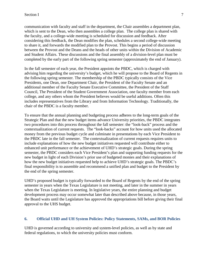communication with faculty and staff in the department, the Chair assembles a department plan, which is sent to the Dean, who then assembles a college plan. The college plan is shared with the faculty, and a college-wide meeting is scheduled for discussion and feedback. After considering this feedback, the Dean modifies the plan, schedules a second college-wide meeting to share it, and forwards the modified plan to the Provost. This begins a period of discussion between the Provost and the Deans and the heads of other units within the Division of Academic and Student Affairs. These discussions and the final assembly of a division-level plan must be completed by the early part of the following spring semester (approximately the end of January).

In the fall semester of each year, the President appoints the PBDC, which is charged with advising him regarding the university's budget, which he will propose to the Board of Regents in the following spring semester. The membership of the PBDC typically consists of the Vice Presidents, one Dean, one Department Chair, the President of the Faculty Senate and an additional member of the Faculty Senate Executive Committee, the President of the Staff Council, The President of the Student Government Association, one faculty member from each college, and any others whom the President believes would be useful additions. Often this includes representatives from the Library and from Information Technology. Traditionally, the chair of the PBDC is a faculty member.

To ensure that the annual planning and budgeting process adheres to the long-term goals of the Strategic Plan and that the new budget items advance University priorities, the PBDC integrates two procedures into this process throughout the fall semester: the "look-back" process and the contextualization of current requests. The "look-backs" account for how units used the allocated money from the previous budget cycle and culminate in presentations by each Vice President to the PBDC late in the fall semester. The contextualization of current requests requires units to include explanations of how the new budget initiatives requested will contribute either to enhanced unit performance or the achievement of UHD's strategic goals. During the spring semester, the PBDC considers each Vice President's plan and supporting funding requests for the new budget in light of each Division's prior use of budgeted monies and their explanations of how the new budget initiatives requested help to achieve UHD's strategic goals. The PBDC's final responsibility is to assemble and recommend a unified plan and budget to the President by the end of the spring semester.

UHD's proposed budget is typically forwarded to the Board of Regents by the end of the spring semester in years when the Texas Legislature is not meeting, and later in the summer in years when the Texas Legislature is meeting. In legislative years, the entire planning and budget development process may occur somewhat later than described above because, in those years, the Board waits until the Legislature has approved the appropriations bill before giving their final approval to the UHS budget.

## **6. Official UHD and UH System Policies: Policy Statements, SAMs, and BOR Policies**

UHD is governed according to university and system-level policies, as well as by state and federal regulations, to which the university policies must conform.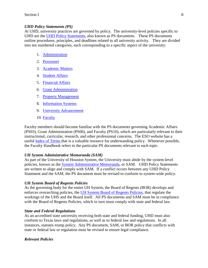## *UHD Policy Statements (PS)*

At UHD, university practices are governed by policy. The university-level policies specific to UHD are the UHD Policy Statements, also known as PS documents. These PS documents outline procedures, principles, and deadlines related to all university activity. They are divided into ten numbered categories, each corresponding to a specific aspect of the university:

- 1. Administration
- 2. Personnel
- 3. Academic Matters
- 4. Student Affairs
- 5. Financial Affairs
- 6. Grant Administration
- 7. Property Management
- 8. Information Systems
- 9. University Advancement
- 10. Faculty

Faculty members should become familiar with the PS documents governing Academic Affairs (PS03), Grant Administration (PS06), and Faculty (PS10), which are particularly relevant to their instructional, curricular, research, and other professional concerns. The ESO website has a useful Index of Terms that is a valuable resource for understanding policy. Whenever possible, the Faculty Handbook refers to the particular PS documents relevant to each topic.

## *UH System Administrative Memoranda (SAM)*

As part of the University of Houston System, the University must abide by the system-level policies, known as the System Administrative Memoranda, or SAM. UHD Policy Statements are written to align and comply with SAM. If a conflict occurs between any UHD Policy Statement and the SAM, the PS document must be revised to conform to system-wide policy.

## *UH System Board of Regents Policies*

As the governing body for the entire UH System, the Board of Regents (BOR) develops and enforces overarching policies, the UH System Board of Regents Policies, that regulate the workings of the UHS and the Board itself. All PS documents and SAM must be in compliance with the Board of Regents Policies, which in turn must comply with state and federal law.

## *State and Federal Regulations*

As an accredited state university receiving both state and federal funding, UHD must also conform to Texas laws and regulations, as well as to federal law and regulations. In all instances, statutes trump policy. Any PS document, SAM, or BOR policy that conflicts with state or federal law or regulation must be revised to ensure legal compliance.

## *Relevant Policies*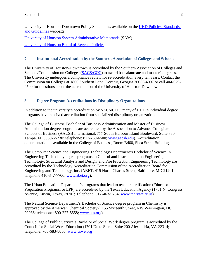University of Houston-Downtown Policy Statements, available on the UHD Policies, Standards, and Guidelines webpage

University of Houston System Administrative Memoranda (SAM) University of Houston Board of Regents Policies

## **7. Institutional Accreditation by the Southern Association of Colleges and Schools**

The University of Houston-Downtown is accredited by the Southern Association of Colleges and Schools/Commission on Colleges (SACS/COC) to award baccalaureate and master's degrees. The University undergoes a compliance review for re-accreditation every ten years. Contact the Commission on Colleges at 1866 Southern Lane, Decatur, Georgia 30033-4097 or call 404-679- 4500 for questions about the accreditation of the University of Houston-Downtown.

## **8. Degree Program Accreditations by Disciplinary Organizations**

In addition to the university's accreditation by SACS/COC, many of UHD's individual degree programs have received accreditation from specialized disciplinary organization.

The College of Business' Bachelor of Business Administration and Master of Business Administration degree programs are accredited by the Association to Advance Collegiate Schools of Business (AACSB International, 777 South Harbour Island Boulevard, Suite 750, Tampa, FL 33602-5730; telephone: 813-769-6500; www.aacsb.edu). Accreditation documentation is available in the College of Business, Room B400, Shea Street Building.

The Computer Science and Engineering Technology Department's Bachelor of Science in Engineering Technology degree programs in Control and Instrumentation Engineering Technology, Structural Analysis and Design, and Fire Protection Engineering Technology are accredited by the Technology Accreditation Commission of the Accreditation Board for Engineering and Technology, Inc. (ABET, 415 North Charles Street, Baltimore, MD 21201; telephone 410-347-7700; www.abet.org).

The Urban Education Department's programs that lead to teacher certification (Educator Preparation Programs, or EPP) are accredited by the Texas Education Agency (1701 N. Congress Avenue, Austin, Texas, 78701; Telephone: 512-463-9734; www.tea.state.tx.us).

The Natural Science Department's Bachelor of Science degree program in Chemistry is approved by the American Chemical Society (1155 Sixteenth Street, NW Washington, DC 20036; telephone: 800-227-5558; www.acs.org).

The College of Public Service's Bachelor of Social Work degree program is accredited by the Council for Social Work Education (1701 Duke Street, Suite 200 Alexandria, VA 22314; telephone: 703-683-8080; www.cswe.org).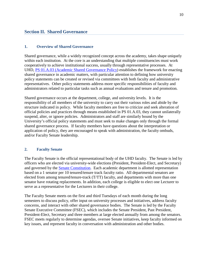# **Section II. Shared Governance**

## **1. Overview of Shared Governance**

Shared governance, while a widely recognized concept across the academy, takes shape uniquely within each institution. At the core is an understanding that multiple constituencies must work cooperatively to achieve institutional success, usually through representative processes. At UHD, PS 01.A.03 (Academic Shared Governance Policy) establishes the framework for enacting shared governance in academic matters, with particular attention to defining how university policy statements can be created or revised via committees with both faculty and administrative representatives. Other policy statements address more specific responsibilities of faculty and administrators related to particular tasks such as annual evaluations and tenure and promotion.

Shared governance occurs at the department, college, and university levels. It is the responsibility of all members of the university to carry out their various roles and abide by the structure indicated in policy. While faculty members are free to criticize and seek alteration of official policies and practices through means established in PS 01.A.03, they cannot unilaterally suspend, alter, or ignore policies. Administrators and staff are similarly bound by the University's official policy statements and must seek to make changes only through the formal shared governance process. If faculty members have questions about the interpretation or application of policy, they are encouraged to speak with administration, the faculty ombuds, and/or Faculty Senate leadership.

## **2. Faculty Senate**

The Faculty Senate is the official representational body of the UHD faculty. The Senate is led by officers who are elected via university-wide elections (President, President-Elect, and Secretary) and governed by the Senate Constitution. Each academic department is allotted representation based on a 1 senator per 10 tenured/tenure track faculty ratio. All departmental senators are elected from among tenured/tenure-track (T/TT) faculty, and departments with more than one senator have rotating replacements. In addition, each college is eligible to elect one Lecturer to serve as a representative for the Lecturers in their college.

The Faculty Senate meets on the first and third Tuesdays of each month during the long semesters to discuss policy, offer input on university processes and initiatives, address faculty concerns, and interact with other shared governance bodies. The Senate is led by the Faculty Senate Executive Committee (FSEC), which includes the Senate President, Past President, President-Elect, Secretary and three members at large elected annually from among the senators. FSEC meets regularly to determine agendas, oversee Senate initiatives, keep faculty informed on key issues, and represent faculty in conversation with administration and other bodies.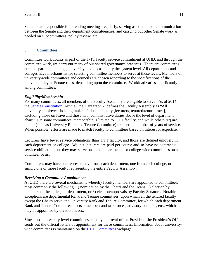Senators are responsible for attending meetings regularly, serving as conduits of communication between the Senate and their department constituencies, and carrying out other Senate work as needed on subcommittees, policy review, etc.

# **3. Committees**

Committee work counts as part of the T/TT faculty service commitment at UHD, and through the committee work, we carry out many of our shared governance practices. There are committees at the department, college, university, and occasionally the system level. All departments and colleges have mechanisms for selecting committee members to serve at those levels. Members of university-wide committees and councils are chosen according to the specifications of the relevant policy or Senate rules, depending upon the committee. Workload varies significantly among committees.

## *Eligibility/Membership*

For many committees, all members of the Faculty Assembly are eligible to serve. As of 2014, the Senate Constitution, Article One, Paragraph 2, defines the Faculty Assembly as "All university employees holding rank as full-time faculty [lecturers, tenured/tenure-track], excluding those on leave and those with administrative duties above the level of department chair." On some committees, membership is limited to T/TT faculty, and while others require tenure (such as University Rank and Tenure Committee) or a certain number of years of service. When possible, efforts are made to match faculty to committees based on interest or expertise.

Lecturers have fewer service obligations than T/TT faculty, and those are defined uniquely in each department or college. Adjunct lecturers are paid per course and so have no contractual service obligation, but they may serve on some departmental or college-wide committees on a volunteer basis.

Committees may have one representative from each department, one from each college, or simply one or more faculty representing the entire Faculty Assembly.

## *Receiving a Committee Appointment*

At UHD there are several mechanisms whereby faculty members are appointed to committees, most commonly the following: 1) nomination by the Chairs and the Deans, 2) election by members of the college or department, or 3) election/approvals by Faculty Senators. Notable exceptions are departmental Rank and Tenure committees, upon which all the tenured faculty except the Chairs serve; the University Rank and Tenure Committee, for which each department Rank and Tenure Committee elects a member; and task forces, advisory councils, etc., which may be appointed by division heads.

Since most university-level committees exist by approval of the President, the President's Office sends out the official letters of appointment for these committees. Information about universitywide committees is maintained on the UHD Committees webpage.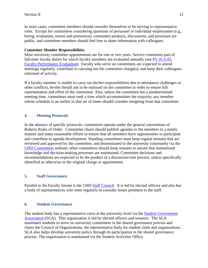In most cases, committee members should consider themselves to be serving in representative roles. Except for committees considering questions of personnel or individual employment (e.g., hiring, evaluation, tenure and promotion), committee products, discussions, and processes are public, and committee members should feel free to share information with colleagues.

# *Committee Member Responsibilities*

Most university committee appointments are for one or two years. Service constitutes part of full-time faculty duties for which faculty members are evaluated annually (see PS 10.A.05, Faculty Performance Evaluation). Faculty who serve on committees are expected to attend meetings regularly, contribute to carrying out the committee charge(s), and keep their colleagues informed of activity.

If a faculty member is unable to carry out his/her responsibilities due to attendance challenges or other conflicts, he/she should ask to be replaced on the committee in order to ensure full representation and effort of the committee. Also, unless the committee has a predetermined meeting time, committees must seek a time which accommodates the majority; any member whose schedule is an outlier in that set of times should consider resigning from that committee.

# **4. Meeting Protocols**

In the absence of specific protocols, committees operate under the general conventions of Roberts Rules of Order. Committee chairs should publish agendas to the members in a timely manner and make reasonable efforts to ensure that all members have opportunities to participate and contribute to agenda development. Standing committees must keep regular minutes that are reviewed and approved by the committee, and disseminated to the university community via the UHD Committees website; other committees should keep minutes to ensure that institutional knowledge and decision-making processes are maintained. Committee decisions and recommendations are expected to be the product of a discussion/vote process, unless specifically identified as otherwise in the original charge or appointment.

# **5. Staff Governance**

Parallel to the Faculty Senate is the UHD Staff Council. It is led by elected officers and also has a body of representatives who meet regularly to consider issues pertinent to the staff.

# **6. Student Governance**

The student body has a representative voice at the university level via the Student Government Association (SGA). This organization is led by elected officers and senators. The SGA nominates students to serve on university committees in the shared governance process and chairs the Council of Organizations, the representative body for student clubs and organizations. SGA also helps develop university policy through its participation in the shared governance process. The organization is maintained via the Student Activities Office.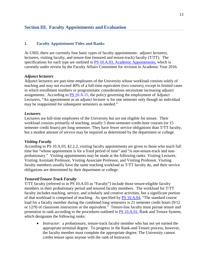# **Section III. Faculty Appointments and Evaluation**

## **1. Faculty Appointment Titles and Ranks**

At UHD, there are currently four basic types of faculty appointments: adjunct lecturers, lecturers, visiting faculty, and tenure-line (tenured and tenure-track) faculty (T/TT). The specifications for each type are outlined in PS 10.A.03, Academic Appointments, which is currently under review by the Faculty Affairs Committee for revision in Academic Year 2016.

## *Adjunct lecturers*

Adjunct lecturers are part-time employees of the University whose workload consists solely of teaching and may not exceed 40% of a full-time equivalent (two courses), except in limited cases in which enrollment numbers or programmatic considerations necessitate increasing adjunct assignments. According to PS 10.A.15, the policy governing the employment of Adjunct Lecturers, "An appointment as an adjunct lecturer is for one semester only though an individual may be reappointed for subsequent semesters as needed."

## *Lecturers*

Lecturers are full-time employees of the University but are not eligible for tenure. Their workload consists primarily of teaching, usually 5 three-semester-credit-hour courses (or 15 semester credit hours) per long semester. They have fewer service obligations than T/TT faculty, but a modest amount of service may be required as determined by the department or college.

#### *Visiting Faculty*

According to PS 10.A.03, §2.2.2, visiting faculty appointments are given to those who teach full time but "whose appointment is for a fixed period of time" and "is non-tenure-track and nonprobationary." Visiting appointments may be made at the following ranks: Visiting Lecturer, Visiting Assistant Professor, Visiting Associate Professor, and Visiting Professor. Visiting faculty members usually have the same teaching workload as T/TT faculty do, and their service obligations are determined by their department or college.

## *Tenured/Tenure Track Faculty*

T/TT faculty (referred to in PS 10.A.03 as "Faculty") include those tenure-eligible faculty members in their probationary period and tenured faculty members. The workload for T/TT faculty includes teaching, service, and scholarly and creative activities, but a significant portion of that workload is comprised of teaching. As specified by PS 10.A.04, "The standard course load for a faculty member during the combined long semesters is 21 semester credit hours (9/12) or 12/9) of classroom instruction or the equivalent." Tenure-line faculty must pursue tenure and promotion in rank according to the procedures outlined in PS 10.A.01, Rank and Tenure System, which designates the following ranks:

• *Instructor*: a probationary, tenure-track faculty member who has not yet earned the appropriate terminal degree. To progress in the Rank-and-Tenure process, however, the faculty member must complete the appropriate degree. The University cannot confer tenure upon anyone with the rank of Instructor.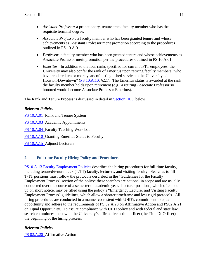- *Assistant Professor*: a probationary, tenure-track faculty member who has the requisite terminal degree.
- *Associate Professor*: a faculty member who has been granted tenure and whose achievements as Assistant Professor merit promotion according to the procedures outlined in PS 10.A.01.
- *Professor*: a faculty member who has been granted tenure and whose achievements as Associate Professor merit promotion per the procedures outlined in PS 10.A.01.
- *Emeritus*: In addition to the four ranks specified for current T/TT employees, the University may also confer the rank of Emeritus upon retiring faculty members "who have rendered ten or more years of distinguished service to the University of Houston-Downtown" (PS 10.A.10, §2.1). The Emeritus status is awarded at the rank the faculty member holds upon retirement (e.g., a retiring Associate Professor so honored would become Associate Professor Emeritus).

The Rank and Tenure Process is discussed in detail in Section III.5, below.

## *Relevant Policies*

PS 10.A.01 Rank and Tenure System PS 10.A.03 Academic Appointments PS 10.A.04 Faculty Teaching Workload PS 10.A.10 Granting Emeritus Status to Faculty PS 10.A.15 Adjunct Lecturers

# **2. Full-time Faculty Hiring Policy and Procedures**

PS10.A.13 Faculty Employment Policies describes the hiring procedures for full-time faculty, including tenured/tenure track (T/TT) faculty, lecturers, and visiting faculty. Searches to fill T/TT positions must follow the protocols described in the "Guidelines for the Faculty Employment Process" section of the policy; these searches are national in scope and are usually conducted over the course of a semester or academic year. Lecturer positions, which often open up on short notice, may be filled using the policy's "Emergency Lecturer and Visiting Faculty Employment Process" guidelines, which allow a shorter timeframe and less rigid protocols. All hiring procedures are conducted in a manner consistent with UHD's commitment to equal opportunity and adhere to the requirements of PS 02.A.20 on Affirmative Action and PS02.A.21 on Equal Opportunity. To assure compliance with UHD policy and with federal and state law, search committees meet with the University's affirmative action officer (the Title IX Officer) at the beginning of the hiring process.

# *Relevant Policies*

PS 02.A.20 Affirmative Action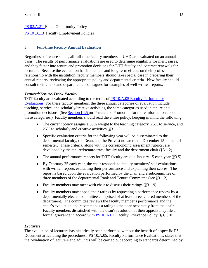# PS 02.A.21 Equal Opportunity Policy PS 10 .A.13 Faculty Employment Policies

# **3. Full-time Faculty Annual Evaluation**

Regardless of tenure status, all full-time faculty members at UHD are evaluated on an annual basis. The results of performance evaluations are used to determine eligibility for merit raises, and they factor into tenure and promotion decisions for T/TT faculty and contract renewals for lecturers. Because the evaluation has immediate and long-term effects on their professional relationship with the institution, faculty members should take special care in preparing their annual reports, reviewing the appropriate policy and departmental criteria. New faculty should consult their chairs and departmental colleagues for examples of well written reports.

# *Tenured/Tenure-Track Faculty*

T/TT faculty are evaluated according to the terms of PS 10.A.05 Faculty Performance Evaluations. For these faculty members, the three annual categories of evaluation include teaching, service, and scholarly/creative activities, the same categories used in tenure and promotion decisions. (See Section III.5 on Tenure and Promotion for more information about these categories.) Faculty members should read the entire policy, keeping in mind the following:

- The current policy assigns a 50% weight to the teaching category, 25% to service, and 25% to scholarly and creative activities (§3.1.1).
- Specific evaluation criteria for the following year will be disseminated to the departmental faculty, the Dean, and the Provost no later than December 15 in the fall semester. These criteria, along with the corresponding assessment rubrics, are developed by the tenured/tenure-track faculty and the department chair (§3.1.2).
- The annual performance reports for T/TT faculty are due January 15 each year (§3.5).
- By February 25 each year, the chair responds to faculty members' self-evaluations with written reports evaluating their performance and explaining their scores. The report is based upon the evaluation performed by the chair and a subcommittee of three members of the departmental Rank and Tenure Committee (see §3.1.2).
- Faculty members may meet with chair to discuss their ratings (§3.1.9).
- Faculty members may appeal their ratings by requesting a performance review by a departmentally elected committee comprised of at least three tenured members of the department. The committee reviews the faculty member's performance and the chair's evaluation and recommends a rating to the dean separately from the chair. Faculty members dissatisfied with the dean's resolution of their appeals may file a formal grievance in accord with PS 10.A.02, Faculty Grievance Policy (§3.1.10).

## *Lecturers*

The evaluation of lecturers has historically been performed without the benefit of a specific PS Document articulating the procedures. PS 10.A.05, Faculty Performance Evaluations, states that the "evaluation of lecturers and adjuncts will be carried out according to standards determined by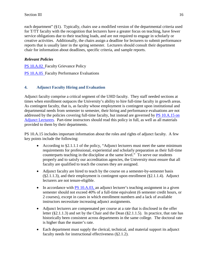each department" (§1). Typically, chairs use a modified version of the departmental criteria used for T/TT faculty with the recognition that lecturers have a greater focus on teaching, have fewer service obligations due to their teaching loads, and are not required to engage in scholarly or creative activities. Additionally, the chairs assign a deadline for lecturers to submit performance reports that is usually later in the spring semester. Lecturers should consult their department chair for information about deadlines, specific criteria, and sample reports.

# *Relevant Policies*

PS 10.A.02 Faculty Grievance Policy PS 10.A.05 Faculty Performance Evaluations

# **4. Adjunct Faculty Hiring and Evaluation**

Adjunct faculty comprise a critical segment of the UHD faculty. They staff needed sections at times when enrollment outpaces the University's ability to hire full-time faculty in growth areas. As contingent faculty, that is, as faculty whose employment is contingent upon institutional and departmental needs from semester to semester, their hiring and performance evaluations are not addressed by the policies covering full-time faculty, but instead are governed by PS 10.A.15 on Adjunct Lecturers. Part-time instructors should read this policy in full, as well as all materials provided to them by their departments.

PS 10.A.15 includes important information about the roles and rights of adjunct faculty. A few key points include the following:

- According to §2.1.1.1 of the policy, "Adjunct lecturers must meet the same minimum requirements for professional, experiential and scholarly preparation as their full-time counterparts teaching in the discipline at the same level." To serve our students properly and to satisfy our accreditation agencies, the University must ensure that all faculty are qualified to teach the courses they are assigned.
- Adjunct faculty are hired to teach by the course on a semester-by-semester basis  $(\S2.1.1.3)$ , and their employment is contingent upon enrollment  $(\S2.1.1.4)$ . Adjunct lecturers are not tenure-eligible.
- In accordance with PS 10.A.03, an adjunct lecturer's teaching assignment in a given semester should not exceed 40% of a full-time equivalent (6 semester credit hours, or 2 courses), except in cases in which enrollment numbers and a lack of available instructors necessitate increasing adjunct assignments.
- Adjunct lecturers are compensated per course at a rate that is disclosed in the offer letter (§2.1.1.3) and set by the Chair and the Dean (§2.1.1.5). In practice, that rate has historically been consistent across departments in the same college. The doctoral rate is higher than the master's rate.
- Each department must supply the clerical, technical, and material support its adjunct faculty needs for instructional effectiveness (§2.1.2).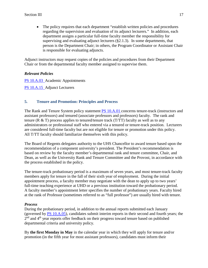• The policy requires that each department "establish written policies and procedures" regarding the supervision and evaluation of its adjunct lecturers." In addition, each department assigns a particular full-time faculty member the responsibility for supervising and evaluating adjunct lecturers  $(\S2.1.3)$ . In some departments, that person is the Department Chair; in others, the Program Coordinator or Assistant Chair is responsible for evaluating adjuncts.

Adjunct instructors may request copies of the policies and procedures from their Department Chair or from the departmental faculty member assigned to supervise them.

# *Relevant Policies*

PS 10.A.03 Academic Appointments PS 10.A.15 Adjunct Lecturers

# **5. Tenure and Promotion: Principles and Process**

The Rank and Tenure System policy statement PS 10.A.01 concerns tenure-track (instructors and assistant professors) and tenured (associate professors and professors) faculty. The rank and tenure (R  $\&$  T) process applies to tenured/tenure track (T/TT) faculty as well as to any administrators or professional staff who entered via a tenured or tenure-track position. Lecturers are considered full-time faculty but are not eligible for tenure or promotion under this policy. All T/TT faculty should familiarize themselves with this policy.

The Board of Regents delegates authority to the UHS Chancellor to award tenure based upon the recommendation of a component university's president. The President's recommendation is based on review by the faculty member's departmental rank and tenure committee, Chair, and Dean, as well as the University Rank and Tenure Committee and the Provost, in accordance with the process established in the policy.

The tenure-track probationary period is a maximum of seven years, and most tenure-track faculty members apply for tenure in the fall of their sixth year of employment. During the initial appointment process, a faculty member may negotiate with the dean to apply up to two years' full-time teaching experience at UHD or a previous institution toward the probationary period. A faculty member's appointment letter specifies the number of probationary years. Faculty hired at the rank of Professor (sometimes referred to as "full professor") are usually hired with tenure.

# *Process*

During the probationary period, in addition to the annual reports submitted each January (governed by PS 10.A.05), candidates submit interim reports in their second and fourth years; the  $2<sup>nd</sup>$  and  $4<sup>th</sup>$  year reports offer feedback on their progress toward tenure based on published departmental criteria and university policy.

By **the first Monday in May** in the calendar year in which they will apply for tenure and/or promotion (in the fifth year for most assistant professors), candidates must inform their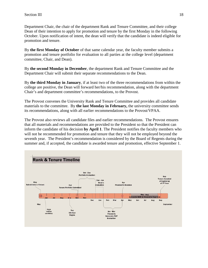Department Chair, the chair of the department Rank and Tenure Committee, and their college Dean of their intention to apply for promotion and tenure by the first Monday in the following October. Upon notification of intent, the dean will verify that the candidate is indeed eligible for promotion and tenure.

By **the first Monday of October** of that same calendar year, the faculty member submits a promotion and tenure portfolio for evaluation to all parties at the college level (department committee, Chair, and Dean).

By **the second Monday in December**, the department Rank and Tenure Committee and the Department Chair will submit their separate recommendations to the Dean.

By **the third Monday in January**, if at least two of the three recommendations from within the college are positive, the Dean will forward her/his recommendation, along with the department Chair's and department committee's recommendations, to the Provost.

The Provost convenes the University Rank and Tenure Committee and provides all candidate materials to the committee. By **the last Monday in February,** the university committee sends its recommendations, along with all earlier recommendations to the Provost/VPAA.

The Provost also reviews all candidate files and earlier recommendations. The Provost ensures that all materials and recommendations are provided to the President so that the President can inform the candidate of his decision **by April 1**. The President notifies the faculty members who will not be recommended for promotion and tenure that they will not be employed beyond the seventh year. The President's recommendation is considered by the Board of Regents during the summer and, if accepted, the candidate is awarded tenure and promotion, effective September 1.

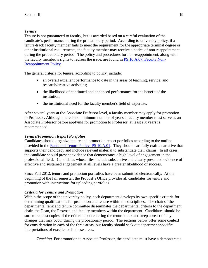# *Tenure*

Tenure is not guaranteed to faculty, but is awarded based on a careful evaluation of the candidate's performance during the probationary period. According to university policy, if a tenure-track faculty member fails to meet the requirement for the appropriate terminal degree or other institutional requirements, the faculty member may receive a notice of non-reappointment during the probationary period. The policy and procedures for non-reappointment, along with the faculty member's rights to redress the issue, are found in PS 10.A.07, Faculty Non-Reappointment Policy.

The general criteria for tenure, according to policy, include:

- an overall excellent performance to date in the areas of teaching, service, and research/creative activities;
- the likelihood of continued and enhanced performance for the benefit of the institution;
- the institutional need for the faculty member's field of expertise.

After several years at the Associate Professor level, a faculty member may apply for promotion to Professor. Although there is no minimum number of years a faculty member must serve as an Associate Professor before applying for promotion to Professor, at least six years is recommended.

# *Tenure/Promotion Report Portfolios*

Candidates should organize tenure and promotion report portfolios according to the outline provided in the Rank and Tenure Policy, PS 10.A.01. They should carefully craft a narrative that supports their candidacy and include relevant material to substantiate their claims. In all cases, the candidate should present evidence that demonstrates a high level of engagement in the professional field. Candidates whose files include substantive and clearly presented evidence of effective and sustained engagement at all levels have a greater likelihood of success.

Since Fall 2012, tenure and promotion portfolios have been submitted electronically. At the beginning of the fall semester, the Provost's Office provides all candidates for tenure and promotion with instructions for uploading portfolios.

# *Criteria for Tenure and Promotion*

Within the scope of the university policy, each department develops its own specific criteria for determining qualifications for promotion and tenure within the disciplines. The chair of the departmental rank and tenure committee disseminates the departmental criteria to the department chair, the Dean, the Provost, and faculty members within the department. Candidates should be sure to request copies of the criteria upon entering the tenure track and keep abreast of any changes that may occur during the probationary period. The sections below offer some context for consideration in each of the three areas, but faculty should seek out department-specific interpretations of excellence in these areas.

*Teaching.* For promotion to Associate Professor, the candidate must have a demonstrated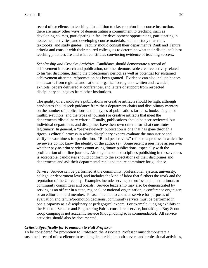record of excellence in teaching. In addition to classroom/on-line course instruction, there are many other ways of demonstrating a commitment to teaching, such as developing courses, participating in faculty development opportunities, participating in assessment activities, and developing course materials, student study materials, textbooks, and study guides. Faculty should consult their department's Rank and Tenure criteria and consult with their tenured colleagues to determine what their discipline's best teaching practices are and what constitutes convincing evidence of teaching success.

*Scholarship and Creative Activities.* Candidates should demonstrate a record of achievement in research and publication, or other demonstrable creative activity related to his/her discipline, during the probationary period, as well as potential for sustained achievement after tenure/promotion has been granted. Evidence can also include honors and awards from regional and national organizations, grants written and awarded, exhibits, papers delivered at conferences, and letters of support from respected disciplinary colleagues from other institutions.

The quality of a candidate's publications or creative artifacts should be high, although candidates should seek guidance from their department chairs and disciplinary mentors on the number of publications and the types of publications (articles, books, single- or multiple-authors, and the types of journals) or creative artifacts that meet the departmental/disciplinary criteria. Usually, publications should be peer-reviewed, but individual departments and disciplines have their own criteria for what constitutes legitimacy. In general, a "peer-reviewed" publication is one that has gone through a rigorous editorial process in which disciplinary experts evaluate the manuscript and verify its worthiness for publication. "Blind peer-review" refers to a process in which the reviewers do not know the identity of the author (s). Some recent issues have arisen over whether pay-to-print services count as legitimate publications, especially with the proliferation of on-line journals. Although in some disciplines publishing in these venues is acceptable, candidates should conform to the expectations of their disciplines and departments and ask their departmental rank and tenure committee for guidance.

*Service*. Service can be performed at the community, professional, system, university, college, or department level, and includes the kind of labor that furthers the work and the reputation of the University. Examples include serving on professional, institutional, or community committees and boards. Service leadership may also be demonstrated by serving as an officer in a state, regional, or national organization; a conference organizer; or an editorial board member. Please note that to count as service for purposes of evaluation and tenure/promotion decisions, community service must be performed in one's capacity as a disciplinary or pedagogical expert. For example, judging exhibits at the Houston Science and Engineering Fair is considered service, but taking a Boy Scout troop camping is not academic service (though doing so is commendable). All service activities should also be documented.

## *Criteria Specifically for Promotion to Full Professor*

To be considered for promotion to Professor, the Associate Professor must demonstrate a sustained record of excellence in teaching, leadership in both service and professional activities,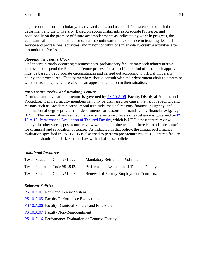major contributions in scholarly/creative activities, and use of his/her talents to benefit the department and the University. Based on accomplishments as Associate Professor, and additionally on the promise of future accomplishments as indicated by work in progress, the applicant exhibits the potential for sustained continuation of excellence in teaching, leadership in service and professional activities, and major contributions in scholarly/creative activities after promotion to Professor.

# *Stopping the Tenure Clock*

Under certain rarely occurring circumstances, probationary faculty may seek administrative approval to suspend the Rank and Tenure process for a specified period of time; such approval must be based on appropriate circumstances and carried out according to official university policy and procedures. Faculty members should consult with their department chair to determine whether stopping the tenure clock is an appropriate option in their situation.

# *Post-Tenure Review and Revoking Tenure*

Dismissal and revocation of tenure is governed by **PS** 10.A.06, Faculty Dismissal Policies and Procedure. Tenured faculty members can only be dismissed for cause, that is, for specific valid reasons such as "academic cause, moral turpitude, medical reasons, financial exigency, and elimination of degree programs or departments for reasons not mandated by financial exigency"  $(\S 2.1)$ . The review of tenured faculty to ensure sustained levels of excellence is governed by PS 10.A.16, Performance Evaluation of Tenured Faculty, which is UHD's post-tenure review policy. In other words, post-tenure review would determine whether there is "academic cause" for dismissal and revocation of tenure. As indicated in that policy, the annual performance evaluation specified in PS10.A.05 is also used to perform post-tenure reviews. Tenured faculty members should familiarize themselves with all of these policies.

# *Additional Resources*

| Texas Education Code §51.922. | Mandatory Retirement Prohibited.           |
|-------------------------------|--------------------------------------------|
| Texas Education Code §51.942. | Performance Evaluation of Tenured Faculty. |
| Texas Education Code §51.943. | Renewal of Faculty Employment Contracts.   |

# *Relevant Policies*

PS 10.A.01 Rank and Tenure System PS 10.A.05 Faculty Performance Evaluations PS 10.A.06 Faculty Dismissal Policies and Procedures PS 10.A.07 Faculty Non-Reappointment PS 10.A.16 Performance Evaluation of Tenured Faculty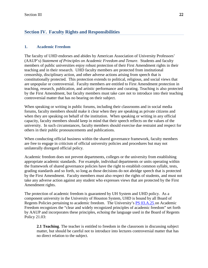# **Section IV. Faculty Rights and Responsibilities**

# **1. Academic Freedom**

The faculty of UHD endorses and abides by American Association of University Professors' (AAUP's) *Statement of Principles on Academic Freedom and Tenure*. Students and faculty members of public universities enjoy robust protection of their First Amendment rights in their teaching and in their research. UHD faculty members are protected from institutional censorship, disciplinary action, and other adverse actions arising from speech that is constitutionally protected. This protection extends to political, religious, and social views that are unpopular or controversial. Faculty members are entitled to First Amendment protection in teaching, research, publication, and artistic performance and curating. Teaching is also protected by the First Amendment, but faculty members must take care not to introduce into their teaching controversial matter that has no bearing on their subject.

When speaking or writing in public forums, including their classrooms and in social media forums, faculty members should make it clear when they are speaking as private citizens and when they are speaking on behalf of the institution. When speaking or writing in any official capacity, faculty members should keep in mind that their speech reflects on the values of the university. In such circumstances, faculty members should exercise due restraint and respect for others in their public pronouncements and publications.

When conducting official business within the shared governance framework, faculty members are free to engage in criticism of official university policies and procedures but may not unilaterally disregard official policy.

Academic freedom does not prevent departments, colleges or the university from establishing appropriate academic standards. For example, individual departments or units operating within the framework of shared governance policies have the right to establish common syllabi, tests, grading standards and so forth, so long as those decisions do not abridge speech that is protected by the First Amendment. Faculty members must also respect the rights of students, and must not take any adverse action against any student who expresses views that are protected by the First Amendment rights.

The protection of academic freedom is guaranteed by UH System and UHD policy. As a component university in the University of Houston System, UHD is bound by all Board of Regents Policies pertaining to academic freedom. The University's PS 03.A.25 on Academic Freedom recognizes the "clear and widely recognized principles of academic freedom" set forth by AAUP and incorporates these principles, echoing the language used in the Board of Regents Policy 21.03:

**2.1 Teaching**. The teacher is entitled to freedom in the classroom in discussing subject matter, but should be careful not to introduce into lectures controversial matter that has no direct relation to the subject.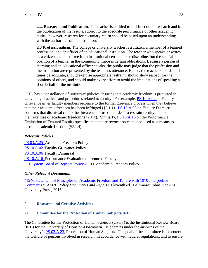**2.2. Research and Publication**. The teacher is entitled to full freedom in research and in the publication of the results, subject to the adequate performance of other academic duties; however, research for pecuniary return should be based upon an understanding with the authorities of the institution.

**2.3 Professionalism**. The college or university teacher is a citizen, a member of a learned profession, and an officer of an educational institution. The teacher who speaks or writes as a citizen should be free from institutional censorship or discipline, but the special position of a teacher in the community imposes certain obligations. Because a person of learning and an educational officer speaks, the public may judge that the profession and the institution are represented by the teacher's utterance. Hence, the teacher should at all times be accurate, should exercise appropriate restraint, should show respect for the opinions of others, and should make every effort to avoid the implications of speaking as if on behalf of the institution.

UHD has a constellation of university policies ensuring that academic freedom is protected in University practices and procedures related to faculty. For example, PS 10.A.02 on Faculty Grievance gives faculty members recourse to the formal grievance process when they believe that their academic freedom has been infringed  $(\S 3.1.1)$ . PS 10.A.06 on Faculty Dismissal confirms that dismissal cannot be threatened or used in order "to restrain faculty members in their exercise of academic freedom" (§2.1.1). Similarly, PS 10.A.16 on the Performance Evaluation of Tenured Faculty specifies that tenure revocation cannot be used as a means to restrain academic freedom (§2.1.4).

# *Relevant Policies*

PS 03.A.25 Academic Freedom Policy PS 10.A.02 Faculty Grievance Policy PS 10.A.06 Faculty Dismissal PS 10.A.16 Performance Evaluation of Tenured Faculty UH System Board of Regents Policy 21.03 Academic Freedom Policy

# *Other Relevant Documents*

"1940 Statement of Principles on Academic Freedom and Tenure with 1970 Interpretive Comments." *AAUP Policy Documents and Reports*. Eleventh ed. Baltimore: Johns Hopkins University Press, 2015.

# **2. Research and Creative Activities**

# **2a. Committee for the Protection of Human Subjects/IRB**

The Committee for the Protection of Human Subjects **(**CPHS) is the Institutional Review Board (IRB) for the University of Houston-Downtown. It operates under the auspices of the University's PS 03.A.23, Protection of Human Subjects. The goal of the committee is to protect the welfare of persons involved in research, in accordance with federal regulations, and to ensure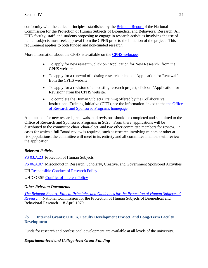conformity with the ethical principles established by the Belmont Report of the National Commission for the Protection of Human Subjects of Biomedical and Behavioral Research. All UHD faculty, staff, and students proposing to engage in research activities involving the use of human subjects must seek approval from the CPHS prior to the initiation of the project. This requirement applies to both funded and non-funded research.

More information about the CPHS is available on the CPHS webpage.

- To apply for new research, click on "Application for New Research" from the CPHS website.
- To apply for a renewal of existing research, click on "Application for Renewal" from the CPHS website.
- To apply for a revision of an existing research project, click on "Application for Revision" from the CPHS website.
- To complete the Human Subjects Training offered by the Collaborative Institutional Training Initiative (CITI), see the information linked to the the Office of Research and Sponsored Programs homepage.

Applications for new research, renewals, and revisions should be completed and submitted to the Office of Research and Sponsored Programs in S625. From there, applications will be distributed to the committee chair, chair-elect, and two other committee members for review. In cases for which a full Board review is required, such as research involving minors or other atrisk populations, the committee will meet in its entirety and all committee members will review the application.

# *Relevant Policies*

PS 03.A.23 Protection of Human Subjects

PS 06.A.07 Misconduct in Research, Scholarly, Creative, and Government Sponsored Activities

UH Responsible Conduct of Research Policy

UHD ORSP Conflict of Interest Policy

# *Other Relevant Documents*

*The Belmont Report: Ethical Principles and Guidelines for the Protection of Human Subjects of Research.* National Commission for the Protection of Human Subjects of Biomedical and Behavioral Research. 18 April 1979.

# **2b. Internal Grants: ORCA, Faculty Development Project, and Long-Term Faculty Development**

Funds for research and professional development are available at all levels of the university.

# *Department-level and College-level Grant Funding*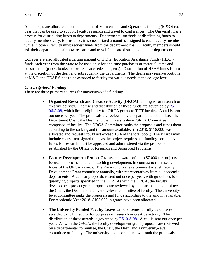All colleges are allocated a certain amount of Maintenance and Operations funding (M&O) each year that can be used to support faculty research and travel to conferences. The University has a process for distributing funds to departments. Departmental methods of distributing funds to faculty members vary; for instance, in some, a fixed amount is assigned to each faculty member while in others, faculty must request funds from the department chair. Faculty members should ask their department chair how research and travel funds are distributed in their department.

Colleges are also allocated a certain amount of Higher Education Assistance Funds (HEAF) funds each year from the State to be used only for one-time purchases of material items and construction (paper, books, software, space redesigns, etc.). Distribution of HEAF funds is also at the discretion of the dean and subsequently the departments. The deans may reserve portions of M&O and HEAF funds to be awarded to faculty for various needs at the college level.

## *University-level Funding*

There are three primary sources for university-wide funding:

- **Organized Research and Creative Activity (ORCA)** funding is for research or creative activity. The use and distribution of these funds are governed by PS 06.A.08, which limits eligibility for ORCA grants to T/TT faculty. A call is sent out once per year. The proposals are reviewed by a departmental committee, the Department Chair, the Dean, and the university-level ORCA Committee composed of faculty. The ORCA Committee ranks the proposals and funds them according to the ranking and the amount available. (In 2018, \$118,000 was allocated and requests could not exceed 10% of the total pool.) The awards may include course-reassigned time, as the project requires and funding permits. All funds for research must be approved and administered via the protocols established by the Office of Research and Sponsored Programs.
- **Faculty Development Project Grants** are awards of up to \$7,000 for projects focused on professional and teaching development, in contrast to the research focus of the ORCA awards. The Provost convenes a university-level Faculty Development Grant committee annually, with representatives from all academic departments. A call for proposals is sent out once per year, with guidelines for qualifying projects specified in the CFP. As with the ORCA, the faculty development project grant proposals are reviewed by a departmental committee, the Chair, the Dean, and a university-level committee of faculty. The universitylevel committee ranks the proposals and funds according to the amount available. For Academic Year 2018, \$105,000 in grants have been allocated.
- **The University Funded Faculty Leaves** are one-semester fully paid leaves awarded to T/TT faculty for purposes of research or creative activity. The distribution of these awards is governed by PS10.A.08. A call is sent out once per year. As with the ORCA, the faculty development grant proposals are reviewed by a departmental committee, the Chair, the Dean, and a university-level committee of faculty. The university-level committee will rank the proposals and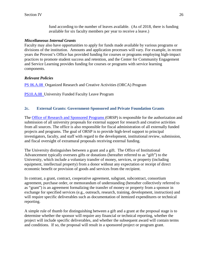fund according to the number of leaves available. (As of 2018, there is funding available for six faculty members per year to receive a leave.)

## *Miscellaneous Internal Grants*

Faculty may also have opportunities to apply for funds made available by various programs or divisions of the institution. Amounts and application processes will vary. For example, in recent years the Provost's Office has provided funding for courses or programs employing high-impact practices to promote student success and retention, and the Center for Community Engagement and Service Learning provides funding for courses or programs with service learning components.

# *Relevant Policies*

PS 06.A.08 Organized Research and Creative Activities (ORCA) Program

PS10.A.08 University Funded Faculty Leave Program

# **2c. External Grants: Government-Sponsored and Private Foundation Grants**

The Office of Research and Sponsored Programs (ORSP) is responsible for the authorization and submission of all university proposals for external support for research and creative activities from all sources. The office is also responsible for fiscal administration of all externally funded projects and programs. The goal of ORSP is to provide high-level support to principal investigators, faculty, and staff with regard to the development, institutional review, submission, and fiscal oversight of extramural proposals receiving external funding.

The University distinguishes between a grant and a gift. The Office of Institutional Advancement typically oversees gifts or donations (hereafter referred to as "gift") to the University, which include a voluntary transfer of money, services, or property (including equipment, intellectual property) from a donor without any expectation or receipt of direct economic benefit or provision of goods and services from the recipient.

In contrast, a grant, contract, cooperative agreement, subgrant, subcontract, consortium agreement, purchase order, or memorandum of understanding (hereafter collectively referred to as "grant") is an agreement formalizing the transfer of money or property from a sponsor in exchange for specified services (e.g., outreach, research, training, development, instruction) and will require specific deliverables such as documentation of itemized expenditures or technical reporting.

A simple rule of thumb for distinguishing between a gift and a grant at the proposal stage is to determine whether the sponsor will require any financial or technical reporting, whether the project will include specific deliverables, and whether the subsequent award will contain terms and conditions. If so, the proposal will result in a sponsored project or program grant.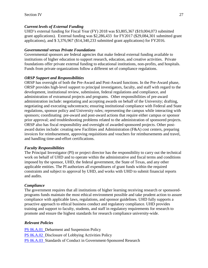# *Current levels of External Funding*

UHD's external funding for Fiscal Year (FY) 2018 was \$3,805,367 (\$19,004,073 submitted grant applications). External funding was \$2,286,433 for FY2017 (\$29,084,301 submitted grant applications), and \$ 3,376,967 (\$14,340,233 submitted grant applications) for FY2016.

# *Governmental versus Private Foundations*

Governmental sponsors are federal agencies that make federal external funding available to institutions of higher education to support research, education, and creative activities. Private foundations offer private external funding to educational institutions, non-profits, and hospitals. Funds from private organizations follow a different set of compliance regulations.

# *ORSP Support and Responsibilities*

ORSP has oversight of both the Pre-Award and Post-Award functions. In the Pre-Award phase, ORSP provides high-level support to principal investigators, faculty, and staff with regard to the development, institutional review, submission, federal regulations and compliance, and administration of extramural projects and programs. Other responsibilities of pre-award administration include: negotiating and accepting awards on behalf of the University; drafting, negotiating and executing subcontracts; ensuring institutional compliance with Federal and State regulations, sponsor policy and University rules; representing the campus while interacting with sponsors; coordinating pre-award and post-award actions that require either campus or sponsor prior approval; and troubleshooting problems related to the administration of sponsored projects. ORSP also has fiscal responsibility and oversight of awarded sponsored projects. Other postaward duties include: creating new Facilities and Administration (F&A) cost centers, preparing invoices for reimbursement, approving requisitions and vouchers for reimbursements and travel, and handling time-and-effort certifications.

# *Faculty Responsibilities*

The Principal Investigator (PI) or project director has the responsibility to carry out the technical work on behalf of UHD and to operate within the administrative and fiscal terms and conditions imposed by the sponsor, UHD, the federal government, the State of Texas, and any other applicable entities. The PI authorizes all expenditures of grant funds within the required constraints and subject to approval by UHD, and works with UHD to submit financial reports and audits.

# *Compliance*

The government requires that all institutions of higher learning receiving research or sponsoredprograms funds maintain the most ethical environment possible and take prudent action to assure compliance with applicable laws, regulations, and sponsor guidelines. UHD fully supports a proactive approach to ethical business conduct and regulatory compliance. UHD provides training and support to faculty, students, and staff in regulatory requirements for research to promote and ensure the highest standards for research compliance university-wide.

# *Relevant Policies*

PS 06.A.01 Debarment and Suspension Policy PS 06.A.02 Disclosure of Lobbying Activities Policy PS 06.A.03 Standards of Conduct in Government-Sponsored Research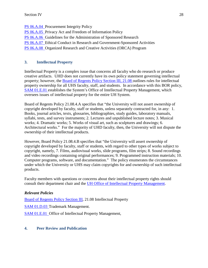PS 06.A.04 Procurement Integrity Policy PS 06.A.05 Privacy Act and Freedom of Information Policy PS 06.A.06 Guidelines for the Administration of Sponsored Research PS 06.A.07 Ethical Conduct in Research and Government-Sponsored Activities PS 06.A.08 Organized Research and Creative Activities (ORCA) Program

# **3. Intellectual Property**

Intellectual Property is a complex issue that concerns all faculty who do research or produce creative artifacts. UHD does not currently have its own policy statement governing intellectual property; however, the Board of Regents Policy Section III, 21.08 outlines rules for intellectual property ownership for all UHS faculty, staff, and students. In accordance with this BOR policy, SAM 01.E.01 establishes the System's Office of Intellectual Property Management, which oversees issues of intellectual property for the entire UH System.

Board of Regents Policy 21.08.4.A specifies that "the University will not assert ownership of copyright developed by faculty, staff or students, unless separately contracted for, in any: 1. Books, journal articles, texts, glossaries, bibliographies, study guides, laboratory manuals, syllabi, tests, and survey instruments; 2. Lectures and unpublished lecture notes; 3. Musical works; 4. Dramatic works; 5. Works of visual art, such as sculptures and drawings; 6. Architectural works." For the majority of UHD faculty, then, the University will not dispute the ownership of their intellectual products.

However, Board Policy 21.08.4.B specifies that "the University will assert ownership of copyright developed by faculty, staff or students, with regard to other types of works subject to copyright, namely, 7. Films, audiovisual works, slide programs, film strips; 8. Sound recordings and video recordings containing original performances; 9. Programmed instruction materials; 10. Computer programs, software, and documentation." The policy enumerates the circumstances under which the University or UHS may claim copyrights for and ownership of such intellectual products.

Faculty members with questions or concerns about their intellectual property rights should consult their department chair and the UH Office of Intellectual Property Management.

# *Relevant Policies*

Board of Regents Policy Section III, 21.08 Intellectual Property

SAM 01.D.03 Trademark Management.

SAM 01.E.01 Office of Intellectual Property Management,

# **4. Peer Review and Publication**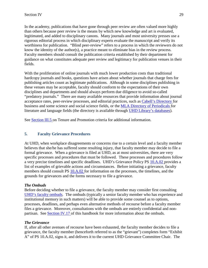In the academy, publications that have gone through peer review are often valued more highly than others because peer review is the means by which new knowledge and art is evaluated, legitimated, and added to disciplinary canons. Many journals and most university presses use a rigorous editorial process in which disciplinary experts evaluate the manuscript and verify its worthiness for publication. "Blind peer-review" refers to a process in which the reviewers do not know the identity of the author(s), a practice meant to eliminate bias in the review process. Faculty members should consult the publication criteria established by their department for guidance on what constitutes adequate peer review and legitimacy for publication venues in their fields.

With the proliferation of online journals with much lower production costs than traditional hardcopy journals and books, questions have arisen about whether journals that charge fees for publishing articles count as legitimate publications. Although in some disciplines publishing in these venues may be acceptable, faculty should conform to the expectations of their own disciplines and departments and should always perform due diligence to avoid so-called "predatory journals." There are many available resources that provide information about journal acceptance rates, peer-review processes, and editorial practices, such as Cabell's Directory for business and some science and social science fields, or the MLA Directory of Periodicals for literature and language fields (the directory is available through UHD Library's databases).

See Section III.5 on Tenure and Promotion criteria for additional information.

# **5. Faculty Grievance Procedures**

At UHD, when workplace disagreements or concerns rise to a certain level and a faculty member believes that she/he has suffered some resulting injury, that faculty member may decide to file a formal grievance. When a grievance is filed at UHD, as at most universities, there are very specific processes and procedures that must be followed. These processes and procedures follow a very precise timelines and specific deadlines. UHD's Grievance Policy PS 10.A.02 provides a list of examples of grievable actions and circumstances. Before initiating a grievance, faculty members should consult PS  $10.A.02$  for information on the processes, the timelines, and the grounds for grievances and the forms necessary to file a grievance.

# *The Ombuds*

Before deciding whether to file a grievance, the faculty member may consider first consulting UHD's faculty ombuds. The ombuds (typically a senior faculty member who has experience and institutional memory in such matters) will be able to provide some counsel as to options, processes, deadlines, and perhaps even alternative methods of recourse before a faculty member files a grievance. Moreover, consultations with the ombuds are entirely confidential and nonpartisan. See Section IV.17 of this handbook for more information about the ombuds.

# *The Grievance*

If, after all other avenues of recourse have been exhausted, the faculty member decides to file a grievance, the faculty member (henceforth referred to as the "grievant") completes form "Exhibit A" of PS 10.A.02, signs it, and delivers it to the current UHD Grievance Committee Chair. The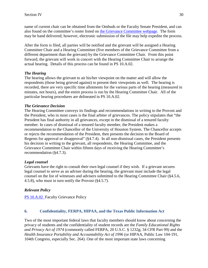name of current chair can be obtained from the Ombuds or the Faculty Senate President, and can also found on the committee's roster listed on the Grievance Committee webpage. The form may be hand delivered; however, electronic submission of the file may help expedite the process.

After the form is filed, all parties will be notified and the grievant will be assigned a Hearing Committee Chair and a Hearing Committee (five members of the Grievance Committee from a different department than the grievant) by the Grievance Committee Chair. From this point forward, the grievant will work in concert with the Hearing Committee Chair to arrange the actual hearing. Details of this process can be found in PS 10.A.02.

### *The Hearing*

The hearing allows the grievant to air his/her viewpoint on the matter and will allow the respondents (those being grieved against) to present their viewpoints as well. The hearing is recorded, there are very specific time allotments for the various parts of the hearing (measured in minutes, not hours), and the entire process is run by the Hearing Committee Chair. All of the particular hearing procedures are delineated in PS 10.A.02.

### *The Grievance Decision*

The Hearing Committee conveys its findings and recommendations in writing to the Provost and the President, who in most cases is the final arbiter of grievances. The policy stipulates that "the President has final authority in all grievances, except in the dismissal of a tenured faculty member. In cases of dismissal of a tenured faculty member, the President makes a recommendation to the Chancellor of the University of Houston System. The Chancellor accepts or rejects the recommendation of the President, then presents the decision to the Board of Regents for approval or disapproval" (§4.7.4). In all non-dismissal cases, the President presents his decision in writing to the grievant, all respondents, the Hearing Committee, and the Grievance Committee Chair within fifteen days of receiving the Hearing Committee's recommendation (§4.7.3).

### *Legal counsel*

Grievants have the right to consult their own legal counsel if they wish. If a grievant secures legal counsel to serve as an adviser during the hearing, the grievant must include the legal counsel on the list of witnesses and advisers submitted to the Hearing Committee Chair (§4.5.6, 4.5.8), who must in turn notify the Provost (§4.5.7).

## *Relevant Policy*

PS 10.A.02 Faculty Grievance Policy

## **6. Confidentiality, FERPA, HIPAA, and the Texas Public Information Act**

Two of the most important federal laws that faculty members should know about concerning the privacy of students and the confidentiality of student records are the *Family Educational Rights and Privacy Act of 1974* (commonly called FERPA, 20 U.S.C. § 1232g; 34 CFR Part 99) and the *Health Insurance Portability and Accountability Act of 1996* (or HIPAA, Public Law 104-191, 104th Congress, especially Sec. 264). One of the most important state laws concerning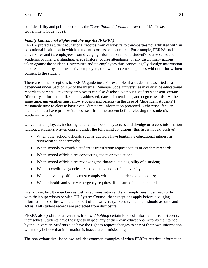confidentiality and public records is the *Texas Public Information Act* (the PIA, Texas Government Code §552).

### *Family Educational Rights and Privacy Act (FERPA)*

FERPA protects student educational records from disclosure to third-parties not affiliated with an educational institution in which a student is or has been enrolled. For example, FERPA prohibits universities and its employees from divulging information about a student's course schedule, academic or financial standing, grade history, course attendance, or any disciplinary actions taken against the student. Universities and its employees thus cannot legally divulge information to parents, employers, prospective employers, or law enforcement agencies without prior written consent to the student.

There are some exceptions to FERPA guidelines. For example, if a student is classified as a dependent under Section 152 of the Internal Revenue Code, universities may divulge educational records to parents. University employees can also disclose, without a student's consent, certain "directory" information like names, addressed, dates of attendance, and degree awards. At the same time, universities must allow students and parents (in the case of "dependent students") reasonable time to elect to have even "directory" information protected. Otherwise, faculty members must have prior written consent from the student before releasing the student's academic records.

University employees, including faculty members, may access and divulge or access information without a student's written consent under the following conditions (this list is not exhaustive):

- When other school officials such as advisors have legitimate educational interest in reviewing student records;
- When schools to which a student is transferring request copies of academic records;
- When school officials are conducting audits or evaluations;
- When school officials are reviewing the financial aid eligibility of a student;
- When accrediting agencies are conducting audits of a university;
- When university officials must comply with judicial orders or subpoenas;
- When a health and safety emergency requires disclosure of student records.

In any case, faculty members as well as administrators and staff employees must first confirm with their supervisors or with UH System Counsel that exceptions apply before divulging information to parties who are not part of the University. Faculty members should assume and act as if all student records are protected from disclosure.

FERPA also prohibits universities from *withholding* certain kinds of information from students themselves. Students have the right to inspect any of their own educational records maintained by the university. Students also have the right to request changes to any of their own information when they believe that information is inaccurate or misleading.

The non-exhaustive list below includes common examples of when FERPA restricts information: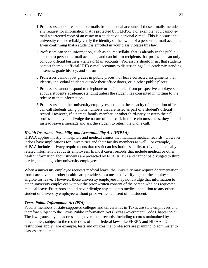- 1.Professors cannot respond to e-mails from personal accounts if those e-mails include any request for information that is protected by FERPA. For example, you cannot email a corrected copy of an essay to a student via personal e-mail. This is because the university cannot reliably verify the identity of the owner of a personal e-mail account. Even confirming that a student is enrolled in your class violates this law.
- 2.Professors can send information, such as course syllabi, that is already in the public domain to personal e-mail accounts, and can inform recipients that professors can only conduct official business via GatorMail accounts. Professors should insist that students contact them via official UHD e-mail accounts to discuss things like academic standing, absences, grade history, and so forth.
- 3.Professors cannot post grades in public places, nor leave corrected assignments that identify individual students outside their office doors, or in other public places.
- 4.Professors cannot respond to telephone or mail queries from prospective employers about a student's academic standing unless the student has consented in writing to the release of that information.
- 5.Professors and other university employees acting in the capacity of a retention officer can call students using phone numbers that are listed as part of a student's official record. However, if a parent, family member, or other third-party answers the call, professors may not divulge the nature of their call. In those circumstances, they should instead leave a message and ask the student to return the phone call.

#### *Health Insurance Portability and Accountability Act (HIPAA)*

HIPAA applies mostly to hospitals and medical clinics that maintain medical records. However, it does have implications for universities and their faculty members as well. For example, HIPAA includes privacy requirements that restrict an institution's ability to divulge medicallyrelated information about its employees. In most cases, records that include medical or other health information about students are protected by FERPA laws and cannot be divulged to third parties, including other university employees.

When a university employee requests medical leave, the university may require documentation from care-givers or other health-care providers as a means of verifying that the employee is eligible for leave. However, those university employees may not divulge that information to other university employees without the prior written consent of the person who has requested medical leave. Professors should never divulge any student's medical condition to any other student or university employee without prior written consent of the student.

#### *Texas Public Information Act (PIA)*

Faculty members at state-supported colleges and universities in Texas are state employees and therefore subject to the Texas Public Information Act (Texas Government Code Chapter 552). The law grants anyone access state government records, including records maintained by universities, subject to the restrictions of other federal laws like FERPA and HIPAA. Other restrictions apply. For example, tests and quizzes that professors are planning to administer to classes are exempt.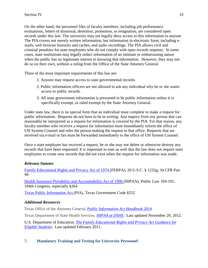On the other hand, the personnel files of faculty members, including job performance evaluations, letters of dismissal, demotion, promotion, or resignation, are considered open records under this law. The university may not legally deny access to this information to anyone. The PIA covers not merely written information, but information in electronic form, including emails, web browser histories and caches, and audio recordings. The PIA allows civil and criminal penalties for state employees who do not comply with open records requests. In some cases, state institutions may legally redact information of an intimate or embarrassing nature when the public has no legitimate interest in knowing that information. However, they may not do so on their own, without a ruling from the Office of the State Attorney General.

Three of the most important requirements of this law are:

- 1. Anyone may request access to state governmental records.
- 2. Public information officers are not allowed to ask any individual why he or she wants access to public records.
- 3. All state government information is presumed to be public information unless it is specifically exempt, or ruled exempt by the State Attorney General.

Under state law, there is no special form that an individual must complete to make a request for public information. Requests do not have to be in writing. Any inquiry from any person that can reasonably be interpreted as a request for information is covered by the PIA. For that reason, any faculty member who receives a request for information must immediately inform the office of UH System Counsel and refer the person making the request to that office. Requests that are received via e-mail or fax must be forwarded immediately to the office of UH System Counsel.

Once a state employee has received a request, he or she may not delete or otherwise destroy any records that have been requested. It is important to note as well that the law does not require state employees to create new records that did not exist when the request for information was made.

### *Relevant Statutes*

Family Educational Rights and Privacy Act of 1974 (FERPA), 20 U.S.C. § 1232g; 34 CFR Part 99

Health Insurance Portability and Accountability Act of 1996 (HIPAA), Public Law 104-191, 104th Congress, especially §264

Texas Public Information Act (PIA), Texas Government Code §552

### *Additional Resources*

Texas Office of the Attorney General, *Public Information Act Handbook 2014*

Texas Department of State Health Services. *HIPAA at DSHS*. Last updated November 20, 2012.

U.S. Department of Education. *The Family Educational Rights and Privacy Act Guidance for Eligible Students*. Last updated February 2011.

## **7. Mandatory Training and Testing for University Personnel**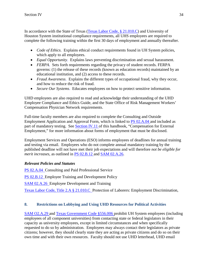In accordance with the State of Texas (Texas Labor Code, § 21.010.C) and University of Houston System institutional compliance requirements, all UHS employees are required to complete the following training within the first 30 days of employment and annually thereafter.

- *Code of Ethics*. Explains ethical conduct requirements found in UH System policies, which apply to all employees.
- *Equal Opportunity*. Explains laws preventing discrimination and sexual harassment.
- *FERPA*. Sets forth requirements regarding the privacy of student records. FERPA governs: (1) the release of these records (known as education records) maintained by an educational institution, and (2) access to these records.
- *Fraud Awareness*. Explains the different types of occupational fraud, why they occur, and how to reduce the risk of fraud.
- *Secure Our Systems*. Educates employees on how to protect sensitive information.

UHD employees are also required to read and acknowledge their understanding of the UHD Employee Compliance and Ethics Guide, and the State Office of Risk Management Workers' Compensation Physician Network requirements.

Full-time faculty members are also required to complete the Consulting and Outside Employment Application and Approval Form, which is linked to PS 02.A.04 and included as part of mandatory testing. See Section IV.11 of this handbook, "Compensation for External Employment," for more information about forms of employment that must be disclosed.

Employment Services and Operations (ESO) informs employees of deadlines for annual training and testing via email. Employees who do not complete annual mandatory training by the published deadline will not have met their job expectations and will therefore *not be eligible for merit increases,* as outlined in PS 02.B.12 and SAM 02.A.26.

# *Relevant Policies and Statutes*

PS 02.A.04 Consulting and Paid Professional Service PS 02.B.12 Employee Training and Development Policy SAM 02.A.26 Employee Development and Training Texas Labor Code, Title 2.A § 21.010.C Protection of Laborers: Employment Discrimination,

# **8. Restrictions on Lobbying and Using UHD Resources for Political Activities**

SAM O2.A.29 and Texas Government Code §556.006 prohibit UH System employees (including employees of all component universities) from contacting state or federal legislators in their capacity as university employees, except in limited circumstances and when specifically requested to do so by administration. Employees may always contact their legislators as private citizens; however, they should clearly state they are acting as private citizens and do so on their own time and with their own resources. Faculty should not use UHD letterhead, UHD email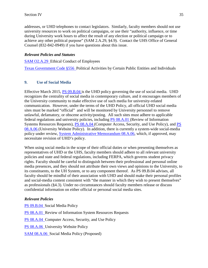addresses, or UHD telephones to contact legislators. Similarly, faculty members should not use university resources to work on political campaigns, or use their "authority, influence, or time during University work hours to affect the result of any election or political campaign or to achieve any other political purpose" (SAM 2.A.29, §4.9). Contact the UHS Office of General Counsel (832-842-0949) if you have questions about this issue.

### *Relevant Policies and Statutes*

SAM O2.A.29 Ethical Conduct of Employees

Texas Government Code §556 Political Activities by Certain Public Entities and Individuals

### **9. Use of Social Media**

Effective March 2015, PS 09.B.04 is the UHD policy governing the use of social media. UHD recognizes the centrality of social media in contemporary culture, and it encourages members of the University community to make effective use of such media for university-related communication. However, under the terms of the UHD Policy, all official UHD social media sites must be marked "official" and will be monitored by University personnel to remove unlawful, defamatory, or obscene activity/posting. All such sites must adhere to applicable federal regulations and university policies, including PS 08.A.01 (Review of Information Systems Resources Requests), PS 08.A.04 (Computer Access, Security, and Use Policy), and PS 08.A.06 (University Website Policy). In addition, there is currently a system-wide social-media policy under review, System Administrative Memorandum 08.A.06, which, if approved, may necessitate revision of UHD's policy.

When using social media in the scope of their official duties or when presenting themselves as representatives of UHD or the UHS, faculty members should adhere to all relevant university policies and state and federal regulations, including FERPA, which governs student privacy rights. Faculty should be careful to distinguish between their professional and personal online media presences, and they should not attribute their own views and opinions to the University, to its constituents, to the UH System, or to any component thereof. As PS 09.B.04 advises, all faculty should be mindful of their association with UHD and should make their personal profiles and social-media content consistent with "the manner in which they wish to present themselves" as professionals (§4.3). Under no circumstances should faculty members release or discuss confidential information on either official or personal social media sites.

### *Relevant Policies*

PS 09.B.04 Social Media Policy PS 08.A.01 Review of Information System Resources Requests PS 08.A.04 Computer Access, Security, and Use Policy PS 08.A.06 University Website Policy SAM 08.A.06 Social Media Policy (Proposed)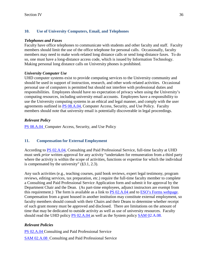## **10. Use of University Computers, Email, and Telephones**

### *Telephones and Faxes*

Faculty have office telephones to communicate with students and other faculty and staff. Faculty members should limit the use of the office telephone for personal calls. Occasionally, faculty members may need to make work-related long distance calls or send long-distance faxes. To do so, one must have a long-distance access code, which is issued by Information Technology. Making personal long distance calls on University phones is prohibited.

### *University Computer Use*

UHD computer systems exist to provide computing services to the University community and should be used in support of instruction, research, and other work-related activities. Occasional personal use of computers is permitted but should not interfere with professional duties and responsibilities. Employees should have no expectation of privacy when using the University's computing resources, including university email accounts. Employees have a responsibility to use the University computing systems in an ethical and legal manner, and comply with the user agreements outlined in PS 08.A.04, Computer Access, Security, and Use Policy. Faculty members should note that university email is potentially discoverable in legal proceedings.

## *Relevant Policy*

PS 08.A.04 Computer Access, Security, and Use Policy

## **11. Compensation for External Employment**

According to PS 02.A.04, Consulting and Paid Professional Service, full-time faculty at UHD must seek *prior* written approval for any activity "undertaken for remuneration from a third party where the activity is within the scope of activities, functions or expertise for which the individual is compensated by the university" (§3.1, 2.3).

Any such activities (e.g., teaching courses, paid book reviews, expert legal testimony, program reviews, editing services, tax preparation, etc.) require the full-time faculty member to complete a Consulting and Paid Professional Service Application form and submit it for approval by the Department Chair and the Dean. (As part-time employees, adjunct instructors are exempt from this requirement.) The form is available as a link to PS 02.A.04 and to ESO's Forms webpage. Compensation from a grant housed in another institution may constitute external employment, so faculty members should consult with their Chairs and their Deans to determine whether receipt of such grant money must be approved and disclosed. There are limitations on the amount of time that may be dedicated to outside activity as well as use of university resources. Faculty should read the UHD policy PS 02.A.04 as well as the System policy SAM 02.A.08.

## *Relevant Policies*

PS 02.A.04 Consulting and Paid Professional Service SAM 02.A.08 Consulting and Paid Professional Service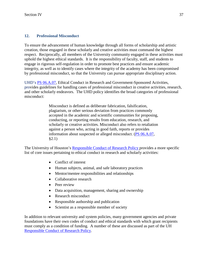### **12. Professional Misconduct**

To ensure the advancement of human knowledge through all forms of scholarship and artistic creation, those engaged in these scholarly and creative activities must command the highest respect. Reciprocally, all members of the University community engaged in these activities must uphold the highest ethical standards. It is the responsibility of faculty, staff, and students to engage in rigorous self-regulation in order to promote best practices and ensure academic integrity, as well as to identify cases where the integrity of the academy has been compromised by professional misconduct, so that the University can pursue appropriate disciplinary action.

UHD's PS 06.A.07, Ethical Conduct in Research and Government-Sponsored Activities, provides guidelines for handling cases of professional misconduct in creative activities, research, and other scholarly endeavors. The UHD policy identifies the broad categories of professional misconduct:

> Misconduct is defined as deliberate fabrication, falsification, plagiarism, or other serious deviation from practices commonly accepted in the academic and scientific communities for proposing, conducting, or reporting results from education, research, and scholarly or creative activities. Misconduct also refers to retaliation against a person who, acting in good faith, reports or provides information about suspected or alleged misconduct. (PS 06.A.07, §2.1)

The University of Houston's Responsible Conduct of Research Policy provides a more specific list of core issues pertaining to ethical conduct in research and scholarly activities:

- Conflict of interest
- Human subjects, animal, and safe laboratory practices
- Mentor/mentee responsibilities and relationships
- Collaborative research
- Peer review
- Data acquisition, management, sharing and ownership
- Research misconduct
- Responsible authorship and publication
- Scientist as a responsible member of society

In addition to relevant university and system policies, many government agencies and private foundations have their own codes of conduct and ethical standards with which grant recipients must comply as a condition of funding. A number of these are discussed as part of the UH Responsible Conduct of Research Policy.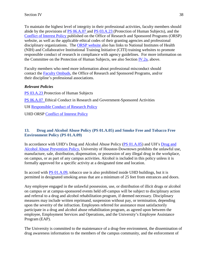To maintain the highest level of integrity in their professional activities, faculty members should abide by the provisions of PS 06.A.07 and PS 03.A.23 (Protection of Human Subjects), and the Conflict of Interest Policy published on the Office of Research and Sponsored Programs (ORSP) website, as well as the applicable ethical codes of their granting agencies and professional disciplinary organizations. The ORSP website also has links to National Institutes of Health (NIH) and Collaborative Institutional Training Initiative (CITI) training websites to promote responsible conduct of research in compliance with agency guidelines. For more information on the Committee on the Protection of Human Subjects, see also Section IV.2a, above.

Faculty members who need more information about professional misconduct should contact the Faculty Ombuds, the Office of Research and Sponsored Programs, and/or their discipline's professional associations.

### *Relevant Policies*

PS 03.A.23 Protection of Human Subjects PS 06.A.07 Ethical Conduct in Research and Government-Sponsored Activities UH Responsible Conduct of Research Policy

UHD ORSP Conflict of Interest Policy

### **13. Drug and Alcohol Abuse Policy (PS 01.A.05) and Smoke Free and Tobacco Free Environment Policy (PS 01.A.09)**

In accordance with UHD's Drug and Alcohol Abuse Policy (PS 01.A.05) and UH's Drug and Alcohol Abuse Prevention Policy, University of Houston-Downtown prohibits the unlawful use, manufacture, sale, distribution, dispensation, or possession of any illegal drug in the workplace, on campus, or as part of any campus activities. Alcohol is included in this policy unless it is formally approved for a specific activity at a designated time and location.

In accord with PS 01.A.09, tobacco use is also prohibited inside UHD buildings, but it is permitted in designated smoking areas that are a minimum of 25 feet from entrances and doors.

Any employee engaged in the unlawful possession, use, or distribution of illicit drugs or alcohol on campus or at campus-sponsored events held off-campus will be subject to disciplinary action and referral to a drug and alcohol rehabilitation program, if deemed necessary. Disciplinary measures may include written reprimand, suspension without pay, or termination, depending upon the severity of the infraction. Employees referred for assistance must satisfactorily participate in a drug and alcohol abuse rehabilitation program, as agreed upon between the employee, Employment Services and Operations, and the University's Employee Assistance Program (EAP).

The University is committed to the maintenance of a drug-free environment, the dissemination of drug awareness information to the members of the campus community, and the enforcement of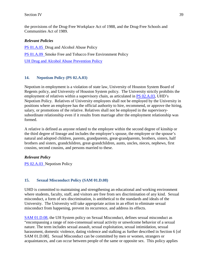the provisions of the Drug-Free Workplace Act of 1988, and the Drug-Free Schools and Communities Act of 1989.

*Relevant Policies* PS 01.A.05 Drug and Alcohol Abuse Policy PS 01.A.09 Smoke Free and Tobacco Free Environment Policy UH Drug and Alcohol Abuse Prevention Policy

## **14. Nepotism Policy (PS 02.A.03)**

Nepotism in employment is a violation of state law, University of Houston System Board of Regents policy, and University of Houston System policy. The University strictly prohibits the employment of relatives within a supervisory chain, as articulated in PS 02.A.03, UHD's Nepotism Policy. Relatives of University employees shall not be employed by the University in positions where an employee has the official authority to hire, recommend, or approve the hiring, salary, or promotions of the relative. Relatives shall not be employed in the supervisorysubordinate relationship even if it results from marriage after the employment relationship was formed.

A relative is defined as anyone related to the employee within the second degree of kinship or the third degree of lineage and includes the employee's spouse, the employee or the spouse's natural and adopted children, parents, grandparents, great-grandparents, brothers, sisters, half brothers and sisters, grandchildren, great-grandchildren, aunts, uncles, nieces, nephews, first cousins, second cousins, and persons married to these.

### *Relevant Policy*

PS 02.A.03 Nepotism Policy

### **15. Sexual Misconduct Policy (SAM 01.D.08)**

UHD is committed to maintaining and strengthening an educational and working environment where students, faculty, staff, and visitors are free from sex discrimination of any kind. Sexual misconduct, a form of sex discrimination, is antithetical to the standards and ideals of the University. The University will take appropriate action in an effort to eliminate sexual misconduct from happening, prevent its recurrence, and address its effects.

SAM 01.D.08, the UH System policy on Sexual Misconduct, defines sexual misconduct as "encompassing a range of non-consensual sexual activity or unwelcome behavior of a sexual nature. The term includes sexual assault, sexual exploitation, sexual intimidation, sexual harassment, domestic violence, dating violence and stalking as further described in Section 6 [of SAM 01.D.08]. Sexual Misconduct can be committed by men or women, strangers or acquaintances, and can occur between people of the same or opposite sex. This policy applies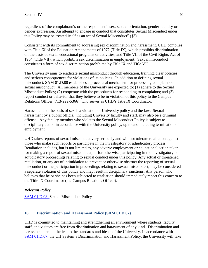regardless of the complainant's or the respondent's sex, sexual orientation, gender identity or gender expression. An attempt to engage in conduct that constitutes Sexual Misconduct under this Policy may be treated itself as an act of Sexual Misconduct" (§3).

Consistent with its commitment to addressing sex discrimination and harassment, UHD complies with Title IX of the Education Amendments of 1972 (Title IX), which prohibits discrimination on the basis of sex in educational programs or activities, and Title VII of the Civil Rights Act of 1964 (Title VII), which prohibits sex discrimination in employment. Sexual misconduct constitutes a form of sex discrimination prohibited by Title IX and Title VII.

The University aims to eradicate sexual misconduct through education, training, clear policies and serious consequences for violations of its policies. In addition to defining sexual misconduct, SAM 01.D.08 establishes a procedural mechanism for processing complaints of sexual misconduct. All members of the University are expected to: (1) adhere to the Sexual Misconduct Policy; (2) cooperate with the procedures for responding to complaints; and (3) report conduct or behavior that they believe to be in violation of this policy to the Campus Relations Officer (713-222-5366), who serves as UHD's Title IX Coordinator.

Harassment on the basis of sex is a violation of University policy and the law. Sexual harassment by a public official, including University faculty and staff, may also be a criminal offense. Any faculty member who violates the Sexual Misconduct Policy is subject to disciplinary action in accordance with the University policy, up to and including termination of employment.

UHD takes reports of sexual misconduct very seriously and will not tolerate retaliation against those who make such reports or participate in the investigatory or adjudicatory process. Retaliation includes, but is not limited to, any adverse employment or educational action taken for making a report of sexual misconduct, or for otherwise participating in the investigatory or adjudicatory proceedings relating to sexual conduct under this policy. Any actual or threatened retaliation, or any act of intimidation to prevent or otherwise obstruct the reporting of sexual misconduct or the participation in proceedings relating to sexual misconduct, may be considered a separate violation of this policy and may result in disciplinary sanctions. Any person who believes that he or she has been subjected to retaliation should immediately report this concern to the Title IX Coordinator (the Campus Relations Officer).

## *Relevant Policy*

SAM 01.D.08 Sexual Misconduct Policy

## **16. Discrimination and Harassment Policy (SAM 01.D.07)**

UHD is committed to maintaining and strengthening an environment where students, faculty, staff, and visitors are free from discrimination and harassment of any kind. Discrimination and harassment are antithetical to the standards and ideals of the University. In accordance with SAM 01.D.07, the UH System's Discrimination and Harassment Policy, the University will take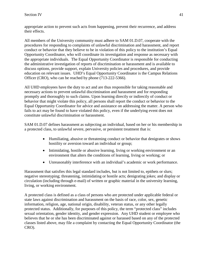appropriate action to prevent such acts from happening, prevent their recurrence, and address their effects.

All members of the University community must adhere to SAM 01.D.07, cooperate with the procedures for responding to complaints of unlawful discrimination and harassment, and report conduct or behavior that they believe to be in violation of this policy to the institution's Equal Opportunity Coordinator, who will coordinate its investigation and response as necessary with the appropriate individuals. The Equal Opportunity Coordinator is responsible for conducting the administrative investigation of reports of discrimination or harassment and is available to discuss options, provide support, explain University policies and procedures, and provide education on relevant issues. UHD's Equal Opportunity Coordinator is the Campus Relations Officer (CRO), who can be reached by phone (713-222-5366).

All UHD employees have the duty to act and are thus responsible for taking reasonable and necessary actions to prevent unlawful discrimination and harassment and for responding promptly and thoroughly to such claims. Upon learning directly or indirectly of conduct or behavior that might violate this policy, all persons shall report the conduct or behavior to the Equal Opportunity Coordinator for advice and assistance on addressing the matter. A person who fails to act may be found to have violated this policy, even if the underlying event does not constitute unlawful discrimination or harassment.

SAM 01.D.07 defines harassment as subjecting an individual, based on her or his membership in a protected class, to unlawful severe, pervasive, or persistent treatment that is:

- Humiliating, abusive or threatening conduct or behavior that denigrates or shows hostility or aversion toward an individual or group;
- Intimidating, hostile or abusive learning, living or working environment or an environment that alters the conditions of learning, living or working; or
- Unreasonably interference with an individual's academic or work performance.

Harassment that satisfies this legal standard includes, but is not limited to, epithets or slurs; negative stereotyping; threatening, intimidating or hostile acts; denigrating jokes; and display or circulation (including through e-mail) of written or graphic material in the university learning, living, or working environment.

A protected class is defined as a class of persons who are protected under applicable federal or state laws against discrimination and harassment on the basis of race, color, sex, genetic information, religion, age, national origin, disability, veteran status, or any other legally protected status. Additionally, for purposes of this policy, the term "protected class" includes sexual orientation, gender identity, and gender expression. Any UHD student or employee who believes that he or she has been discriminated against or harassed based on any of the protected classes listed above, may file a complaint by contacting the Equal Opportunity Coordinator (the CRO).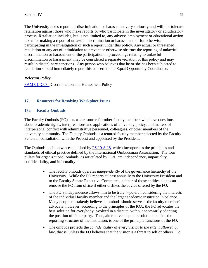The University takes reports of discrimination or harassment very seriously and will not tolerate retaliation against those who make reports or who participate in the investigatory or adjudicatory process. Retaliation includes, but is not limited to, any adverse employment or educational action taken for making a report of unlawful discrimination or harassment, or for otherwise participating in the investigation of such a report under this policy. Any actual or threatened retaliation or any act of intimidation to prevent or otherwise obstruct the reporting of unlawful discrimination or harassment or the participation in proceedings relating to unlawful discrimination or harassment, may be considered a separate violation of this policy and may result in disciplinary sanctions. Any person who believes that he or she has been subjected to retaliation should immediately report this concern to the Equal Opportunity Coordinator.

### *Relevant Policy*

SAM 01.D.07 Discrimination and Harassment Policy

### **17. Resources for Resolving Workplace Issues**

#### **17a. Faculty Ombuds**

The Faculty Ombuds (FO) acts as a resource for other faculty members who have questions about academic rights, interpretations and applications of university policy, and matters of interpersonal conflict with administrative personnel, colleagues, or other members of the university community. The Faculty Ombuds is a tenured faculty member selected by the Faculty Senate in consultation with the Provost and appointed by the President.

The Ombuds position was established by PS 10.A.18, which incorporates the principles and standards of ethical practice defined by the International Ombudsman Association. The four pillars for organizational ombuds, as articulated by IOA, are independence, impartiality, confidentiality, and informality.

- The faculty ombuds operates *independently* of the governance hierarchy of the University. While the FO reports at least annually to the University President and to the Faculty Senate Executive Committee, neither of those entities alone can remove the FO from office if either dislikes the advice offered by the FO.
- The FO's independence allows him to be truly *impartial,* considering the interests of the individual faculty member and the larger academic institution in balance. Many people mistakenly believe an ombuds should serve as the faculty member's advocate; however, according to the principles of the IOA, the FO advocates the best solution for everybody involved in a dispute, without necessarily adopting the position of either party. Thus, alternative dispute resolution, outside the reporting structure of the institution, is one of the principle functions of the FO.
- The ombuds protects the *confidentiality* of every visitor *to the extent allowed by law*, that is, unless the FO believes that the visitor is a threat to self or others. To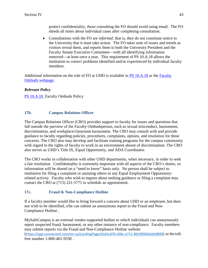protect confidentiality, those consulting the FO should avoid using email. The FO shreds all notes about individual cases after completing consultation.

• Consultations with the FO are *informal*; that is, they do not constitute notice to the University that it must take action. The FO takes note of issues and trends as visitors reveal them, and reports them to both the University President and the Faculty Senate Executive Committee—with all identifying information removed—at least once a year. This requirement of PS 10.A.18 allows the institution to correct problems identified and/or experienced by individual faculty members.

Additional information on the role of FO at UHD is available in **PS** 10.A.18 or the Faculty Ombuds webpage.

### *Relevant Policy*

PS 10.A.18 Faculty Ombuds Policy

## **17b. Campus Relations Officer**

The Campus Relations Officer (CRO) provides support to faculty for issues and questions that fall outside the purview of the Faculty Ombudsperson, such as sexual misconduct, harassment, discrimination, and workplace/classroom harassment. The CRO may consult with and provide guidance to faculty regarding policies, procedures, complaints, options, and resolution for these concerns. The CRO also may develop and facilitate training programs for the campus community with regard to the rights of faculty to work in an environment absent of discrimination. The CRO also serves as UHD's Title IX, Equal Opportunity, and ADA Coordinator.

The CRO works in collaboration with other UHD departments, when necessary, in order to seek a fair resolution. Confidentiality is extremely important with all aspects of the CRO's duties, so information will be shared on a "need to know" basis only. No person shall be subject to retaliation for filing a complaint or assisting others in any Equal Employment Opportunityrelated activity. Faculty who wish to inquire about seeking guidance or filing a complaint may contact the CRO at (713) 221-5771 to schedule an appointment.

## **17c. Fraud & Non-Compliance Hotline**

If a faculty member would like to bring forward a concern about UHD or an employee, but does not wish to be identified, s/he can submit an anonymous report to the Fraud and Non-Compliance Hotline .

MySafeCampus is an external vendor-supported hotline to which individuals can anonymously report suspected fraud, harassment, or any other instance of non-compliance. Faculty members may submit reports via the Fraud and Non-Compliance Hotline website (https://app.convercent.com/en‐us/LandingPage/b3d1c670‐e06c‐e711‐80cf000d3ab0d899) orthe tollfree number 1-800-461-9330 .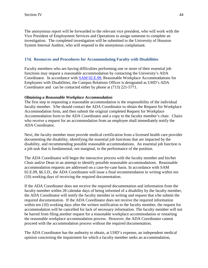The anonymous report will be forwarded to the relevant vice president, who will work with the Vice President of Employment Services and Operations to assign someone to complete an investigation. The completed investigation will be submitted to the University of Houston System Internal Auditor, who will respond to the anonymous complainant.

### **17d. Resources and Procedures for Accommodating Faculty with Disabilities**

Faculty members who are having difficulties performing one or more of their essential job functions may request a reasonable accommodation by contacting the University's ADA Coordinator. In accordance with SAM 02.E.09, Reasonable Workplace Accommodations for Employees with Disabilities, the Campus Relations Officer is designated as UHD's ADA Coordinator and can be contacted either by phone at (713) 221-5771.

#### *Obtaining a Reasonable Workplace Accommodation*

The first step in requesting a reasonable accommodation is the responsibility of the individual faculty member. S/he should contact the ADA Coordinator to obtain the Request for Workplace Accommodation form, and then submit the original completed Request for Workplace Accommodation form to the ADA Coordinator and a copy to the faculty member's chair. Chairs who receive a request for an accommodation from an employee shall immediately notify the ADA Coordinator.

Next, the faculty member must provide medical certification from a licensed health care provider documenting the disability, identifying the essential job functions that are impacted by the disability, and recommending possible reasonable accommodations. An essential job function is a job task that is fundamental, not marginal, to the performance of the position.

The ADA Coordinator will begin the interactive process with the faculty member and his/her Chair and/or Dean in an attempt to identify possible reasonable accommodations. Reasonable accommodation requests are addressed on a case-by-case basis. In accordance with SAM 02.E.09, §6.5.D., the ADA Coordinator will issue a final recommendation in writing within ten (10) working days of receiving the required documentation.

If the ADA Coordinator does not receive the required documentation and information from the faculty member within 28 calendar days of being informed of a disability by the faculty member, the ADA Coordinator will notify the faculty member in writing and request that s/he submit the required documentation. If the ADA Coordinator does not receive the required information within ten (10) working days after the written notification to the faculty member, the request for accommodation will be cancelled for lack of necessary information. The faculty member will not be barred from filing another request for a reasonable workplace accommodation or restarting the reasonable workplace accommodation process. However, the ADA Coordinator cannot proceed with the accommodation process without the required documentation.

The ADA Coordinator has the authority to obtain, at UHD's expense, an independent medical opinion concerning the impairment for which a faculty member seeks an accommodation,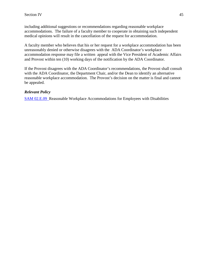including additional suggestions or recommendations regarding reasonable workplace accommodations. The failure of a faculty member to cooperate in obtaining such independent medical opinions will result in the cancellation of the request for accommodation.

A faculty member who believes that his or her request for a workplace accommodation has been unreasonably denied or otherwise disagrees with the ADA Coordinator's workplace accommodation response may file a written appeal with the Vice President of Academic Affairs and Provost within ten (10) working days of the notification by the ADA Coordinator.

If the Provost disagrees with the ADA Coordinator's recommendations, the Provost shall consult with the ADA Coordinator, the Department Chair, and/or the Dean to identify an alternative reasonable workplace accommodation. The Provost's decision on the matter is final and cannot be appealed.

### *Relevant Policy*

SAM 02.E.09 Reasonable Workplace Accommodations for Employees with Disabilities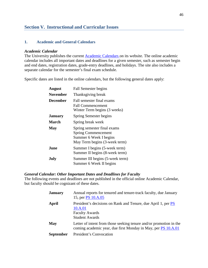## **Section V. Instructional and Curricular Issues**

#### **1. Academic and General Calendars**

#### *Academic Calendar*

The University publishes the current Academic Calendars on its website. The online academic calendar includes all important dates and deadlines for a given semester, such as semester begin and end dates, registration dates, grade-entry deadlines, and holidays. The site also includes a separate calendar for the semester's final exam schedule.

Specific dates are listed in the online calendars, but the following general dates apply:

| <b>August</b>  | Fall Semester begins                                                                                                 |  |
|----------------|----------------------------------------------------------------------------------------------------------------------|--|
| November       | Thanksgiving break                                                                                                   |  |
| December       | Fall semester final exams<br><b>Fall Commencement</b><br>Winter Term begins (3 weeks)                                |  |
| <b>January</b> | Spring Semester begins                                                                                               |  |
| March          | Spring break week                                                                                                    |  |
| May            | Spring semester final exams<br><b>Spring Commencement</b><br>Summer 6 Week I begins<br>May Term begins (3-week term) |  |
| June           | Summer I begins (5-week term)<br>Summer II begins (8-week term)                                                      |  |
| July           | Summer III begins (5-week term)<br>Summer 6 Week II begins                                                           |  |

#### *General Calendar: Other Important Dates and Deadlines for Faculty*

The following events and deadlines are not published in the official online Academic Calendar, but faculty should be cognizant of these dates.

| <b>January</b>   | Annual reports for tenured and tenure-track faculty, due January<br>15, per PS 10.A.05                                              |
|------------------|-------------------------------------------------------------------------------------------------------------------------------------|
| April            | President's decisions on Rank and Tenure, due April 1, per PS<br>10.A.01<br><b>Faculty Awards</b><br><b>Student Awards</b>          |
| <b>May</b>       | Letter of intent from those seeking tenure and/or promotion in the<br>coming academic year, due first Monday in May, per PS 10.A.01 |
| <b>September</b> | President's Convocation                                                                                                             |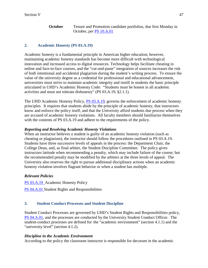**October** Tenure and Promotion candidate portfolios, due first Monday in October, per PS 10.A.01

### **2. Academic Honesty (PS 03.A.19)**

Academic honesty is a fundamental principle in American higher education; however, maintaining academic honesty standards has become more difficult with technological innovation and increased access to digital resources. Technology helps facilitate cheating in online and face-to-face courses, and the "cut-and-paste" integration of sources increases the risk of both intentional and accidental plagiarism during the student's writing process. To ensure the value of the university degree as a credential for professional and educational advancement, universities must strive to maintain academic integrity and instill in students the basic principle articulated in UHD's Academic Honesty Code: "Students must be honest in all academic activities and must not tolerate dishonesty" (PS 03.A.19, §2.1.1).

The UHD Academic Honesty Policy, PS 03.A.19, governs the enforcement of academic honesty principles. It requires that students abide by the principle of academic honesty, that instructors know and enforce the policy itself, and that the University afford students due process when they are accused of academic honesty violations. All faculty members should familiarize themselves with the contents of PS 03.A.19 and adhere to the requirements of the policy.

### *Reporting and Resolving Academic Honesty Violations*

When an instructor believes a student is guilty of an academic honesty violation (such as cheating or plagiarism), the instructor should follow the procedures outlined in PS 03.A.19. Students have three successive levels of appeals in the process: the Department Chair, the College Dean, and, as final arbiter, the Student Discipline Committee. The policy gives instructors latitude when recommending a penalty, which may include failure of the course, but the recommended penalty may be modified by the arbiters at the three levels of appeal. The University also reserves the right to pursue additional disciplinary actions when an academic honesty violation involves flagrant behavior or when a student has multiple.

### *Relevant Policies*

PS 03.A.19 Academic Honesty Policy

PS 04.A.01 Student Rights and Responsibilities

### **3. Student Conduct Processes and Student Discipline**

Student Conduct Processes are governed by UHD's Student Rights and Responsibilities policy, PS 04.A.01, and the processes are conducted by the University Student Conduct Officer. The student-conduct processes are defined for the "academic environment" (section 4.1.1) and the "university level" (section 4.1.2).

#### *Discipline in the Academic Environment*

According to the policy the classroom instructor is responsible for decorum in the academic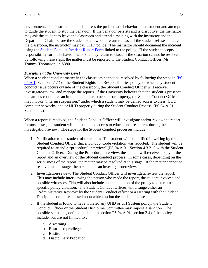environment. The instructor should address the problematic behavior to the student and attempt to guide the student to stop the behavior. If the behavior persists and is disruptive, the instructor may ask the student to leave the classroom and attend a meeting with the instructor and the Department Chair, before the student is allowed to return to class. If the student refuses to leave the classroom, the instructor may call UHD police. The instructor should document the incident using the **Student Conduct Incident Report Form linked to the policy.** If the student accepts responsibility for the behavior, he or she may return to class. If the situation cannot be resolved by following these steps, the matter must be reported to the Student Conduct Officer, Mr. Tommy Thomason, in S380.

### *Discipline at the University Level*

When a student conduct matter in the classroom cannot be resolved by following the steps in (PS 04.A.1, Section 4.1.1) of the Student Rights and Responsibilities policy, or when any student conduct issue occurs outside of the classroom, the Student Conduct Officer will receive, investigate/review, and manage the reports. If the University believes that the student's presence on campus constitutes an imminent danger to persons or property, the Student Conduct Officer may invoke "interim suspension," under which a student may be denied access to class, UHD computer networks, and or UHD property during the Student Conduct Process. (PS 04.A.01, Section 4.2)

When a report is received, the Student Conduct Officer will investigate and/or review the report. In most cases, the student will not be denied access to educational resources during the investigation/review. The steps for the Student Conduct processes include:

- 1. Notification to the student of the report: The student will be notified in writing by the Student Conduct Officer that a Conduct Code violation was reported. The student will be required to attend a "procedural interview" (PS 04.A.01, Section 4.3.2.1) with the Student Conduct Officer. During the Procedural Interview, the student will receive a copy of the report and an overview of the Student conduct process. In some cases, depending on the seriousness of the report, the matter may be resolved at this stage. If the matter cannot be resolved at this stage, the next step is an investigation/review.
- 2. Investigation/review: The Student Conduct Officer will investigate/review the report. This may include interviewing the person who made the report, the student involved and possible witnesses. This will also include an examination of the policy to determine a specific policy violation. The Student Conduct Officer will arrange either an "Administrative Review" by the Student Conduct officer or a Hearing with the Student Discipline committee, based upon which option the student chooses.
- 3. If the student is found to have violated any UHD or UH System policy, the Student Conduct Officer or the Student Discipline Committee may impose a sanction. The possible sanctions, defined in detail in section PS 04.A.01, section 3.4 of the policy, include, but are not limited to :
	- a. A warning
	- b. Restricted privileges
	- c. Restitution
	- d. Disciplinary Probation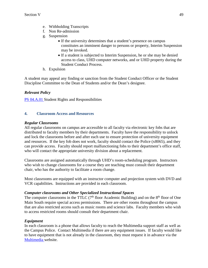- e. Withholding Transcripts
- f. Non Re-admission
- g. Suspension
	- If the university determines that a student's presence on campus constitutes an imminent danger to persons or property, Interim Suspension may be invoked.
	- If a student is subjected to Interim Suspension, he or she may be denied access to class, UHD computer networks, and or UHD property during the Student Conduct Process.
- h. Expulsion

A student may appeal any finding or sanction from the Student Conduct Officer or the Student Discipline Committee to the Dean of Students and/or the Dean's designee.

## *Relevant Policy*

PS 04.A.01 Student Rights and Responsibilities

## **4. Classroom Access and Resources**

### *Regular Classrooms*

All regular classrooms on campus are accessible to all faculty via electronic key fobs that are distributed to faculty members by their departments. Faculty have the responsibility to unlock and lock the classrooms before and after each use to ensure protection of university equipment and resources. If the key fob does not work, faculty should contact the Police (x8065), and they can provide access. Faculty should report malfunctioning fobs to their department's office staff, who will contact the appropriate university division about a replacement.

Classrooms are assigned automatically through UHD's room-scheduling program. Instructors who wish to change classrooms for a course they are teaching must consult their department chair, who has the authority to facilitate a room change.

Most classrooms are equipped with an instructor computer and projection system with DVD and VCR capabilities. Instructions are provided in each classroom.

## *Computer classrooms and Other Specialized Instructional Spaces*

The computer classrooms in the TTLC  $(7<sup>th</sup>$  floor Academic Building) and on the  $8<sup>th</sup>$  floor of One Main South require special access permissions. There are other rooms throughout the campus that are also restricted access such as music rooms and science labs. Faculty members who wish to access restricted rooms should consult their department chair.

## *Equipment*

In each classroom is a phone that allows faculty to reach the Multimedia support staff as well as the Campus Police. Contact Multimedia if there are any equipment issues. If faculty would like to have equipment that is not already in the classroom, they must request it in advance via the Multimedia website.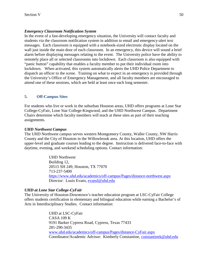#### *Emergency Classroom Notification System*

In the event of a fast-developing emergency situation, the University will contact faculty and students via the classroom notification system in addition to email and emergency-alert text messages. Each classroom is equipped with a notebook-sized electronic display located on the wall just inside the main door of each classroom. In an emergency, this device will sound a brief alarm before displaying messages relating to the event. The University police have the ability to remotely place all or selected classrooms into lockdown. Each classroom is also equipped with "panic button" capability that enables a faculty member to put their individual room into lockdown. When activated, this system automatically alerts the UHD Police Department to dispatch an officer to the scene. Training on what to expect in an emergency is provided through the University's Office of Emergency Management, and all faculty members are encouraged to attend one of these sessions, which are held at least once each long semester.

#### **5. Off-Campus Sites**

For students who live or work in the suburban Houston areas, UHD offers programs at Lone Star College-CyFair, Lone Star College-Kingwood, and the UHD Northwest Campus. Department Chairs determine which faculty members will teach at these sites as part of their teaching assignments.

#### *UHD Northwest Campus*

The UHD Northwest campus serves western Montgomery County, Waller County, NW Harris County and the City of Houston in the Willowbrook area. At this location, UHD offers the upper-level and graduate courses leading to the degree. Instruction is delivered face-to-face with daytime, evening, and weekend scheduling options. Contact information:

> UHD Northwest Building 12, 20515 SH 249, Houston, TX 77070 713-237-5400 [https://www.uhd.edu/academics/off-campus/Pages/distance-northwest.aspx](http://www.uhd.edu/academics/off-campus/Pages/distance-northwest.aspx) Director: Louis Evans, [evansl@uhd.edu](mailto:evansl@uhd.edu)

#### *UHD at Lone Star College-CyFair*

The University of Houston-Downtown's teacher education program at LSC-CyFair College offers students certification in elementary and bilingual education while earning a Bachelor's of Arts in Interdisciplinary Studies. Contact information:

> UHD at LSC-CyFair CASA 109 K 9191 Barker Cypress Road, Cypress, Texas 77433 281-290-3435 [www.uhd.edu/academics/off-campus/Pages/distance-CyFair.aspx](http://www.uhd.edu/academics/off-campus/Pages/distance-CyFair.aspx) Coordinator/Academic Advisor: Kimberly Constantine, [constantinek@uhd.edu](mailto:constantinek@uhd.edu)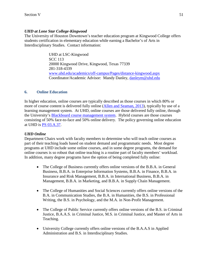### *UHD at Lone Star College-Kingwood*

The University of Houston Downtown's teacher education program at Kingwood College offers students certification in elementary education while earning a Bachelor's of Arts in Interdisciplinary Studies. Contact information:

> UHD at LSC-Kingwood SCC 113 20000 Kingwood Drive, Kingwood, Texas 77339 281-318-4339 [www.uhd.edu/academics/off-campus/Pages/distance-kingwood.aspx](http://www.uhd.edu/academics/off-campus/Pages/distance-kingwood.aspx) Coordinator/Academic Advisor: Mandy Danley, [danleym@uhd.edu](mailto:danleym@uhd.edu)

## **6. Online Education**

In higher education, online courses are typically described as those courses in which 80% or more of course content is delivered fully online (Allen and Seaman, 2013), typically by use of a learning management system. At UHD, online courses are those delivered fully online, through the University's **Blackboard course management system**. Hybrid courses are those courses consisting of 50% face-to-face and 50% online delivery. The policy governing online education at UHD is PS 03.A.37.

## *UHD Online*

Department Chairs work with faculty members to determine who will teach online courses as part of their teaching loads based on student demand and programmatic needs. Most degree programs at UHD include some online courses, and in some degree programs, the demand for online courses is so robust that online teaching is a routine part of faculty members' workload. In addition, many degree programs have the option of being completed fully online:

- The College of Business currently offers online versions of the B.B.A. in General Business, B.B.A. in Enterprise Information Systems, B.B.A. in Finance, B.B.A. in Insurance and Risk Management, B.B.A. in International Business, B.B.A. in Management, B.B.A. in Marketing, and B.B.A. in Supply Chain Management.
- The College of Humanities and Social Sciences currently offers online versions of the B.A. in Communication Studies, the B.A. in Humanities, the B.S. in Professional Writing, the B.S. in Psychology, and the M.A. in Non-Profit Management.
- The College of Public Service currently offers online versions of the B.S. in Criminal Justice, B.A.A.S. in Criminal Justice, M.S. in Criminal Justice, and Master of Arts in Teaching.
- University College currently offers online versions of the B.A.A.S in Applied Administration and B.S. in Interdisciplinary Studies.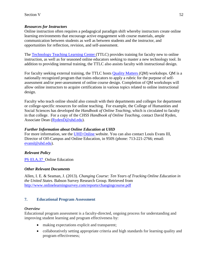### *Resources for Instructors*

Online instruction often requires a pedagogical paradigm shift whereby instructors create online learning environments that encourage active engagement with course materials, ample communication between students as well as between students and the instructor, and opportunities for reflection, revision, and self-assessment.

The Technology Teaching Learning Center (TTLC) provides training for faculty new to online instruction, as well as for seasoned online educators seeking to master a new technology tool. In addition to providing internal training, the TTLC also assists faculty with instructional design.

For faculty seeking external training, the TTLC hosts Quality Matters (QM) workshops. QM is a nationally recognized program that trains educators to apply a rubric for the purpose of selfassessment and/or peer-assessment of online course design. Completion of QM workshops will allow online instructors to acquire certifications in various topics related to online instructional design.

Faculty who teach online should also consult with their departments and colleges for department or college-specific resources for online teaching. For example, the College of Humanities and Social Sciences has developed the *Handbook of Online Teaching*, which is circulated to faculty in that college. For a copy of the *CHSS Handbook of Online Teaching*, contact David Ryden, Associate Dean (RydenD@uhd.edu).

### *Further Information about Online Education at UHD*

For more information, see the UHD Online website. You can also contact Louis Evans III, Director of Off-Campus and Online Education, in 950S (phone: 713-221-2766; email: evansl@uhd.edu).

## *Relevant Policy*

PS 03.A.37 Online Education

## *Other Relevant Documents*

Allen, I. E. & Seaman, J. (2013). *Changing Course: Ten Years of Tracking Online Education in the United States.* Babson Survey Research Group. Retrieved from <http://www.onlinelearningsurvey.com/reports/changingcourse.pdf>

## **7. Educational Program Assessment**

### *Overview*

Educational program assessment is a faculty-directed, ongoing process for understanding and improving student learning and program effectiveness by:

- making expectations explicit and transparent;
- collaboratively setting appropriate criteria and high standards for learning quality and program effectiveness;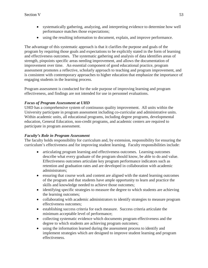- systematically gathering, analyzing, and interpreting evidence to determine how well performance matches those expectations;
- using the resulting information to document, explain, and improve performance.

The advantage of this systematic approach is that it clarifies the purpose and goals of the program by requiring those goals and expectations to be explicitly stated in the form of learning and effectiveness outcomes. The systematic gathering and analysis of data identifies areas of strength, pinpoints specific areas needing improvement, and allows the documentation of improvement over time. An essential component of good educational practice, program assessment promotes a reflective, scholarly approach to teaching and program improvement, and is consistent with contemporary approaches to higher education that emphasize the importance of engaging students in the learning process.

Program assessment is conducted for the sole purpose of improving learning and program effectiveness, and findings are not intended for use in personnel evaluations.

### *Focus of Program Assessment at UHD*

UHD has a comprehensive system of continuous quality improvement. All units within the University participate in program assessment including co-curricular and administrative units. Within academic units, all educational programs, including degree programs, developmental education, General Education, non-credit programs, and academic centers are required to participate in program assessment.

### *Faculty's Role in Program Assessment*

The faculty holds responsibility for curriculum and, by extension, responsibility for ensuring the curriculum's effectiveness and for improving student learning. Faculty responsibilities include:

- articulating program learning and effectiveness outcomes. Learning outcomes describe what every graduate of the program should know, be able to do and value. Effectiveness outcomes articulate key program performance indicators such as retention and graduation rates and are developed in collaboration with academic administrators;
- ensuring that course work and content are aligned with the stated learning outcomes of the program and that students have ample opportunity to learn and practice the skills and knowledge needed to achieve those outcomes;
- identifying specific strategies to measure the degree to which students are achieving the learning outcomes;
- collaborating with academic administrators to identify strategies to measure program effectiveness outcomes;
- establishing success criteria for each measure. Success criteria articulate the minimum acceptable level of performance;
- collecting systematic evidence which documents program effectiveness and the degree to which students are achieving program outcomes;
- using the information learned during the assessment process to identify and implement strategies which are designed to improve student learning and program effectiveness.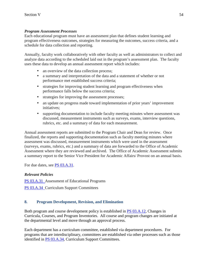### *Program Assessment Processes*

Each educational program must have an assessment plan that defines student learning and program effectiveness outcomes, strategies for measuring the outcomes, success criteria, and a schedule for data collection and reporting.

Annually, faculty work collaboratively with other faculty as well as administrators to collect and analyze data according to the scheduled laid out in the program's assessment plan. The faculty uses these data to develop an annual assessment report which includes:

- an overview of the data collection process;
- a summary and interpretation of the data and a statement of whether or not performance met established success criteria;
- strategies for improving student learning and program effectiveness when performance falls below the success criteria;
- strategies for improving the assessment processes;
- an update on progress made toward implementation of prior years' improvement initiatives;
- supporting documentation to include faculty meeting minutes where assessment was discussed, measurement instruments such as surveys, exams, interview questions, rubrics, etc. and a summary of data for each measurement.

Annual assessment reports are submitted to the Program Chair and Dean for review. Once finalized, the reports and supporting documentation such as faculty meeting minutes where assessment was discussed, measurement instruments which were used in the assessment (surveys, exams, rubrics, etc.) and a summary of data are forwarded to the Office of Academic Assessment where they are reviewed and archived. The Office of Academic Assessment submits a summary report to the Senior Vice President for Academic Affairs/ Provost on an annual basis.

For due dates, see PS 03.A.31.

## *Relevant Policies*

PS 03.A.31 Assessment of Educational Programs PS 03.A.34 Curriculum Support Committees

## **8. Program Development, Revision, and Elimination**

Both program and course development policy is established in PS 03.A.12, Changes in Curricula, Courses, and Program Inventories. All course and program changes are initiated at the departmental level and move through an approval process.

Each department has a curriculum committee, established via department procedures. For programs that are interdisciplinary, committees are established via other processes such as those identified in PS 03.A.34, Curriculum Support Committees.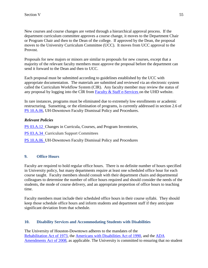New courses and course changes are vetted through a hierarchical approval process. If the department curriculum committee approves a course change, it moves to the Department Chair or Program Chair and then to the Dean of the college. If approved by the Dean, the proposal moves to the University Curriculum Committee (UCC). It moves from UCC approval to the Provost.

Proposals for new majors or minors are similar to proposals for new courses, except that a majority of the relevant faculty members must approve the proposal before the department can send it forward to the Dean and then to UCC.

Each proposal must be submitted according to guidelines established by the UCC with appropriate documentation. The materials are submitted and reviewed via an electronic system called the Curriculum Workflow System (CIR). Any faculty member may review the status of any proposal by logging into the CIR from Faculty & Staff e-Services on the UHD website.

In rare instances, programs must be eliminated due to extremely low enrollments or academic restructuring. Sunsetting, or the elimination of programs, is currently addressed in section 2.6 of PS 10.A.06, UH-Downtown Faculty Dismissal Policy and Procedures.

### *Relevant Policies*

PS 03.A.12 Changes in Curricula, Courses, and Program Inventories,

PS 03.A.34 Curriculum Support Committees

PS 10.A.06 UH-Downtown Faculty Dismissal Policy and Procedures

## **9. Office Hours**

Faculty are required to hold regular office hours. There is no definite number of hours specified in University policy, but many departments require at least one scheduled office hour for each course taught. Faculty members should consult with their department chairs and departmental colleagues to determine the number of office hours required and should consider the needs of the students, the mode of course delivery, and an appropriate proportion of office hours to teaching time.

Faculty members must include their scheduled office hours in their course syllabi. They should keep those schedule office hours and inform students and department staff if they anticipate significant deviation from that schedule.

### **10. Disability Services and Accommodating Students with Disabilities**

The University of Houston-Downtown adheres to the mandates of the Rehabilitation Act of 1973, the Americans with Disabilities Act of 1990, and the ADA Amendments Act of 2008, as applicable. The University is committed to ensuring that no student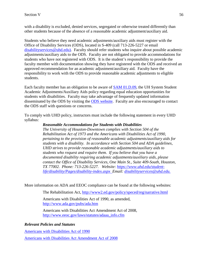with a disability is excluded, denied services, segregated or otherwise treated differently than other students because of the absence of a reasonable academic adjustment/auxiliary aid.

Students who believe they need academic adjustments/auxiliary aids must register with the Office of Disability Services (ODS), located in S-409 (call 713-226-5227 or email disabilityservices@uhd.edu). Faculty should refer students who inquire about possible academic adjustments/auxiliary aids to the ODS. Faculty are not obligated to provide accommodations for students who have not registered with ODS. It is the student's responsibility to provide the faculty member with documentation showing they have registered with the ODS and received an approved recommendation for an academic adjustment/auxiliary aid. Faculty have the responsibility to work with the ODS to provide reasonable academic adjustments to eligible students.

Each faculty member has an obligation to be aware of **SAM 01.D.09**, the UH System Student Academic Adjustments/Auxiliary Aids policy regarding equal education opportunities for students with disabilities. Faculty may take advantage of frequently updated information disseminated by the ODS by visiting the ODS website. Faculty are also encouraged to contact the ODS staff with questions or concerns.

To comply with UHD policy, instructors must include the following statement in every UHD syllabus:

#### *Reasonable Accommodations for Students with Disabilities*

*The University of Houston-Downtown complies with Section 504 of the Rehabilitation Act of 1973 and the Americans with Disabilities Act of 1990, pertaining to the provision of reasonable academic adjustments/auxiliary aids for students with a disability. In accordance with Section 504 and ADA guidelines, UHD strives to provide reasonable academic adjustments/auxiliary aids to students who request and require them. If you believe that you have a documented disability requiring academic adjustments/auxiliary aids, please contact the Office of Disability Services, One Main St., Suite 409-South, Houston, TX 77002. Phone: 713-226-5227. Website: [https://www.uhd.edu/student](http://www.uhd.edu/student-)life/disability/Pages/disability-index.aspx Email: [disabilityservices@uhd.edu.](mailto:disabilityservices@uhd.edu)*

More information on ADA and EEOC compliance can be found at the following websites:

The Rehabilitation Act, <http://www2.ed.gov/policy/speced/reg/narrative.html>

Americans with Disabilities Act of 1990, as amended, <http://www.ada.gov/pubs/ada.htm>

Americans with Disabilities Act Amendment Act of 2008, [http://www.eeoc.gov/laws/statutes/adaaa\\_info.cfm](http://www.eeoc.gov/laws/statutes/adaaa_info.cfm)

#### *Relevant Policies and Statutes*

Americans with Disabilities Act of 1990 Americans with Disabilities Act Amendment Act of 2008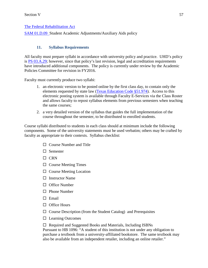### The Federal Rehabilitation Act

SAM 01.D.09 Student Academic Adjustments/Auxiliary Aids policy

### **11. Syllabus Requirements**

All faculty must prepare syllabi in accordance with university policy and practice. UHD's policy is PS 03.A.29; however, since that policy's last revision, legal and accreditation requirements have introduced additional components. The policy is currently under review by the Academic Policies Committee for revision in FY2016.

Faculty must currently produce two syllabi:

- 1. an electronic version to be posted online by the first class day, to contain only the elements requested by state law (Texas Education Code §51.974). Access to this electronic posting system is available through Faculty E-Services via the Class Roster and allows faculty to repost syllabus elements from previous semesters when teaching the same courses;
- 2. a very detailed version of the syllabus that guides the full implementation of the course throughout the semester, to be distributed to enrolled students.

Course syllabi distributed to students in each class should at minimum include the following components. Some of the university statements must be used verbatim; others may be crafted by faculty as appropriate to their contexts. Syllabus checklist:

- $\Box$  Course Number and Title
- $\square$  Semester
- $\square$  CRN
- $\Box$  Course Meeting Times
- $\Box$  Course Meeting Location
- $\Box$  Instructor Name
- $\Box$  Office Number
- $\Box$  Phone Number
- $\square$  Email
- $\Box$  Office Hours
- $\Box$  Course Description (from the Student Catalog) and Prerequisites
- $\Box$  Learning Outcomes

 $\Box$  Required and Suggested Books and Materials, Including ISBNs Pursuant to HB 1096: "A student of this institution is not under any obligation to purchase a textbook from a university-affiliated bookstore. The same textbook may also be available from an independent retailer, including an online retailer."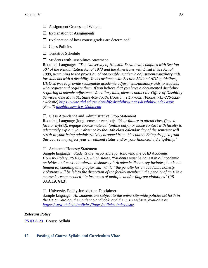- $\Box$  Assignment Grades and Weight
- $\square$  Explanation of Assignments
- $\square$  Explanation of how course grades are determined
- □ Class Policies
- $\Box$  Tentative Schedule

#### $\square$  Students with Disabilities Statement

Required Language: *"The University of Houston-Downtown complies with Section 504 of the Rehabilitation Act of 1973 and the Americans with Disabilities Act of 1990, pertaining to the provision of reasonable academic adjustments/auxiliary aids for students with a disability. In accordance with Section 504 and ADA guidelines, UHD strives to provide reasonable academic adjustments/auxiliary aids to students who request and require them. If you believe that you have a documented disability requiring academic adjustments/auxiliary aids, please contact the Office of Disability Services, One Main St., Suite 409-South, Houston, TX 77002. (Phone) 713-226-5227 (Website) [https://www.uhd.edu/student-life/disability/Pages/disability-index.aspx](http://www.uhd.edu/student-life/disability/Pages/disability-index.aspx) (Email) [disabilityservices@uhd.edu](mailto:disabilityservices@uhd.edu)*

#### $\square$  Class Attendance and Administrative Drop Statement

Required Language (long-semester version): "*Your failure to attend class (face to face or hybrid), engage course material (online only); or make contact with faculty to adequately explain your absence by the 10th class calendar day of the semester will result in your being administratively dropped from this course. Being dropped from this course may affect your enrollment status and/or your financial aid eligibility."*

#### □ Academic Honesty Statement

Sample language: *Students are responsible for following the UHD Academic Honesty Policy, PS 03.A.19, which states, "Students must be honest in all academic activities and must not tolerate dishonesty." Academic dishonesty includes, but is not limited to, cheating and plagiarism. While "the penalty for an academic honesty violations will be left to the discretion of the faculty member," the penalty of an F in a course is recommended "in instances of multiple and/or flagrant violations"* (PS 03.A.19, §4.3).

### $\Box$  University Policy Jurisdiction Disclaimer

Sample language: *All students are subject to the university-wide policies set forth in the UHD Catalog, the Student Handbook, and the UHD website, available at [https://www.uhd.edu/policies/Pages/policies-index.aspx.](http://www.uhd.edu/policies/Pages/policies-index.aspx)*

### *Relevant Policy*

PS 03.A.29 Course Syllabi

#### **12. Posting of Course Syllabi and Curriculum Vitae**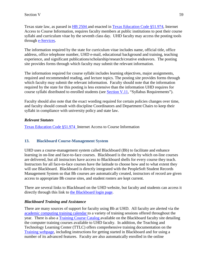Texas state law, as passed in HB 2504 and enacted in Texas Education Code §51.974, Internet Access to Course Information, requires faculty members at public institutions to post their course syllabi and curriculum vitae by the seventh class day. UHD faculty may access the posting tools through e-Services.

The information required by the state for curriculum vitae includes name, official title, office address, office telephone number, UHD e-mail, educational background and training, teaching experience, and significant publications/scholarship/research/creative endeavors. The posting site provides forms through which faculty may submit the relevant information.

The information required for course syllabi includes learning objectives, major assignments, required and recommended reading, and lecture topics. The posting site provides forms through which faculty may submit the relevant information. Faculty should note that the information required by the state for this posting is less extensive than the information UHD requires for course syllabi distributed to enrolled students (see Section V.11, "Syllabus Requirements").

Faculty should also note that the exact wording required for certain policies changes over time, and faculty should consult with discipline Coordinators and Department Chairs to keep their syllabi in compliance with university policy and state law.

## *Relevant Statutes*

Texas Education Code §51.974 Internet Access to Course Information

## **13. Blackboard Course-Management System**

UHD uses a course-management system called Blackboard (Bb) to facilitate and enhance learning in on-line and face-to-face courses. Blackboard is the mode by which on-line courses are delivered, but all instructors have access to Blackboard shells for every course they teach. Instructors for all face-to-face courses have the latitude to choose how and to what extent they will use Blackboard. Blackboard is directly integrated with the PeopleSoft Student Records Management System so that Bb courses are automatically created, instructors of record are given access to appropriate Bb course sites, and student rosters are kept current.

There are several links to Blackboard on the UHD website, but faculty and students can access it directly through this link to the Blackboard login page.

### *Blackboard Training and Assistance*

There are many sources of support for faculty using Bb at UHD. All faculty are alerted via the academic computing training calendar to a variety of training sessions offered throughout the year. There is also a Training Course Catalog available on the Blackboard faculty site detailing the computer training courses available to UHD faculty. In addition, the Teaching and Technology Learning Center (TTLC) offers comprehensive training documentation on the Training webpage, including instructions for getting started in Blackboard and for using a number of its advanced features. Faculty are also automatically enrolled in the online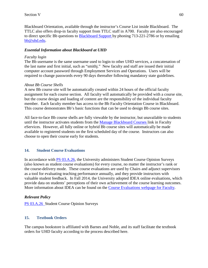Blackboard Orientation, available through the instructor's Course List inside Blackboard. The TTLC also offers drop-in faculty support from TTLC staff in A700. Faculty are also encouraged to direct specific Bb questions to Blackboard Support by phoning 713-221-2786 or by emailing [bb@uhd.edu.](mailto:bb@uhd.edu)

#### *Essential Information about Blackboard at UHD*

#### *Faculty login*

The Bb username is the same username used to login to other UHD services, a concatenation of the last name and first initial, such as "smithj." New faculty and staff are issued their initial computer account password through Employment Services and Operations. Users will be required to change passwords every 90 days thereafter following mandatory state guidelines.

#### *About Bb Course Shells*

A new Bb course site will be automatically created within 24 hours of the official faculty assignment for each course section. All faculty will automatically be provided with a course site, but the course design and loading of content are the responsibility of the individual faculty member. Each faculty member has access to the Bb Faculty Orientation Course in Blackboard. This course demonstrates Bb's basic functions that can be used to design Bb course sites.

All face-to-face Bb course shells are fully viewable by the instructor, but unavailable to students until the instructor activates students from the Manage Blackboard Courses link in Faculty eServices. However, all fully online or hybrid Bb course sites will automatically be made available to registered students on the first scheduled day of the course. Instructors can also choose to open their course early for students.

### **14. Student Course Evaluations**

In accordance with PS 03.A.26, the University administers Student Course Opinion Surveys (also known as student course evaluations) for every course, no matter the instructor's rank or the course-delivery mode. These course evaluations are used by Chairs and adjunct supervisors as a tool for evaluating teaching performance annually, and they provide instructors with valuable student feedback. In Fall 2014, the University adopted IDEA online evaluations, which provide data on students' perceptions of their own achievement of the course learning outcomes. More information about IDEA can be found on the Course Evaluations webpage for Faculty.

### *Relevant Policy*

PS 03.A.26 Student Course Opinion Surveys

### **15. Textbook Orders**

The campus bookstore is affiliated with Barnes and Noble, and its staff facilitate the textbook orders for UHD faculty according to the process described here.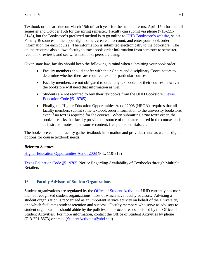Textbook orders are due on March 15th of each year for the summer terms, April 15th for the fall semester and October 15th for the spring semester. Faculty can submit via phone (713-221- 8145), but the Bookstore's preferred method is to go online to UHD Bookstore's website, select Faculty Resources in the upper right corner, create an account, and enter your book order information for each course. The information is submitted electronically to the bookstore. The online resource also allows faculty to track book-order information from semester to semester, read book reviews, and see what textbooks peers are using.

Given state law, faculty should keep the following in mind when submitting your book order:

- Faculty members should confer with their Chairs and disciplinary Coordinators to determine whether there are required texts for particular courses.
- Faculty members are not obligated to order any textbooks for their courses; however, the bookstore will need that information as well.
- Students are not required to buy their textbooks from the UHD Bookstore (Texas Education Code §51.9705).
- Finally, the Higher Education Opportunities Act of 2008 (HEOA) requires that all faculty members submit some textbook order information to the university bookstore, even if no text is required for the courses. When submitting a "no text" order, the bookstore asks that faculty provide the source of the material used in the course, such as instructor notes, open source content, free publisher trials, etc.

The bookstore can help faculty gather textbook information and provides rental as well as digital options for course textbook needs.

### *Relevant Statutes*

Higher Education Opportunities Act of 2008 (P.L. 110-315)

Texas Education Code §51.9705 Notice Regarding Availability of Textbooks through Multiple Retailers

## **16. Faculty Advisors of Student Organizations**

Student organizations are regulated by the Office of Student Activities. UHD currently has more than 50 recognized student organizations, most of which have faculty advisors. Advising a student organization is recognized as an important service activity on behalf of the University, one which facilitates student retention and success. Faculty members who serve as advisors to student organizations should abide by the policies and procedures established by the Office of Student Activities. For more information, contact the Office of Student Activities by phone (713-221-8573) or email (StudentActivities@uhd.edu).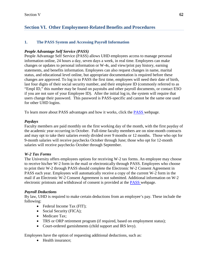# **Section VI. Other Employment-Related Benefits and Procedures**

### **1. The PASS System and Accessing Payroll Information**

### *People Advantage Self Service (PASS)*

People Advantage Self Service (PASS) allows UHD employees access to manage personal information online, 24 hours a day, seven days a week, in real time. Employees can make changes or updates to personal information or W-4s, and view/print pay history, earning statements, and benefits information. Employees can also request changes in name, marital status, and educational level online, but appropriate documentation is required before these changes are approved. To log in to PASS the first time, employees will need their date of birth, last four digits of their social security number, and their employee ID (commonly referred to as "Empl ID," this number may be found on paystubs and other payroll documents, or contact ESO if you are not sure of your Employee ID). After the initial log in, the system will require that users change their password. This password is PASS-specific and cannot be the same one used for other UHD logins.

To learn more about PASS advantages and how it works, click the PASS webpage.

### *Paydays*

Faculty members are paid monthly on the first working day of the month, with the first payday of the academic year occurring in October. Full-time faculty members are on nine-month contracts and may opt to take their salaries evenly divided over 9 months or 12 months. Those who opt for 9-month salaries will receive paychecks October through June; those who opt for 12-month salaries will receive paychecks October through September.

### *W-2 Tax Forms*

The University offers employees options for receiving W-2 tax forms. An employee may choose to receive his/her W-2 form in the mail or electronically through PASS. Employees who choose to print their W-2 through PASS should complete the Electronic W-2 Consent Agreement in PASS each year. Employees will automatically receive a copy of the current W-2 form in the mail if an Electronic W-2 Consent Agreement is not submitted. Additional information on W-2 electronic printouts and withdrawal of consent is provided at the PASS webpage.

### *Payroll Deductions*

By law, UHD is required to make certain deductions from an employee's pay. These include the following:

- Federal Income Tax (FIT);
- Social Security (FICA);
- Medicare Tax;
- TRS or ORP retirement program (if required, based on employment status);
- Court-ordered garnishments (child support and IRS levy).

Employees have the option of requesting additional deductions, such as:

• Health insurance: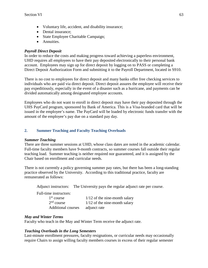- Voluntary life, accident, and disability insurance;
- Dental insurance;
- State Employee Charitable Campaign;
- Annuities.

### *Payroll Direct Deposit*

In order to reduce the costs and making progress toward achieving a paperless environment, UHD requires all employees to have their pay deposited electronically to their personal bank account. Employees may sign up for direct deposit by logging on to PASS or completing a Direct Deposit Authorization Form and submitting it to the Payroll Department, located in S910.

There is no cost to employees for direct deposit and many banks offer free checking services to individuals who are paid via direct deposit. Direct deposit assures the employee will receive their pay expeditiously, especially in the event of a disaster such as a hurricane, and payments can be divided automatically among designated employee accounts.

Employees who do not want to enroll in direct deposit may have their pay deposited through the UHS PayCard program, sponsored by Bank of America. This is a Visa-branded card that will be issued in the employee's name. The PayCard will be loaded by electronic funds transfer with the amount of the employee's pay due on a standard pay day.

### **2. Summer Teaching and Faculty Teaching Overloads**

### *Summer Teaching*

There are three summer sessions at UHD, whose class dates are noted in the academic calendar. Full-time faculty members have 9-month contracts, so summer courses fall outside their regular teaching load. Summer teaching is neither required nor guaranteed, and it is assigned by the Chair based on enrollment and curricular needs.

There is not currently a policy governing summer pay rates, but there has been a long-standing practice observed by the University. According to this traditional practice, faculty are remunerated as follows:

Adjunct instructors: The University pays the regular adjunct rate per course.

Full-time instructors:

| 1 <sup>st</sup> course    | $1/12$ of the nine-month salary |
|---------------------------|---------------------------------|
| 2 <sup>nd</sup> course    | $1/12$ of the nine-month salary |
| <b>Additional courses</b> | adjunct rate                    |

### *May and Winter Terms*

Faculty who teach in the May and Winter Term receive the adjunct rate.

### *Teaching Overloads in the Long Semesters*

Last-minute enrollment pressures, faculty resignations, or curricular needs may occasionally require Chairs to assign willing faculty members courses in excess of their regular semester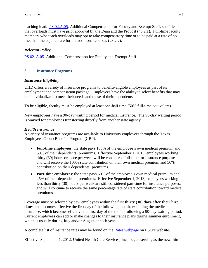teaching load. PS 02.A.05, Additional Compensation for Faculty and Exempt Staff, specifies that overloads must have prior approval by the Dean and the Provost  $(\S 3.2.1)$ . Full-time faculty members who teach overloads may opt to take compensatory time or to be paid at a rate of no less than the adjunct rate for the additional courses (§3.2.2).

### *Relevant Policy*

PS 02. A.05 Additional Compensation for Faculty and Exempt Staff

### **3. Insurance Programs**

### *Insurance Eligibility*

UHD offers a variety of insurance programs to benefits-eligible employees as part of its employment and compensation package. Employees have the ability to select benefits that may be individualized to meet their needs and those of their dependents.

To be eligible, faculty must be employed at least one-half time (50% full-time equivalent).

New employees have a 90-day waiting period for medical insurance. The 90-day waiting period is waived for employees transferring directly from another state agency.

#### *Health Insurance*

A variety of insurance programs are available to University employees through the Texas Employees Group Benefits Program (GBP).

- **Full-time employees**: the state pays 100% of the employee's own medical premium and 50% of their dependents' premiums. Effective September 1, 2013, employees working thirty (30) hours or more per week will be considered full-time for insurance purposes and will receive the 100% state contribution on their own medical premium and 50% contribution on their dependents' premiums.
- **Part-time employees**: the State pays 50% of the employee's own medical premium and 25% of their dependents' premiums. Effective September 1, 2013, employees working less than thirty (30) hours per week are still considered part-time for insurance purposes, and will continue to receive the same percentage rate of state contribution toward medical premiums.

Coverage must be selected by new employees within the first **thirty (30) days after their hire dates** and becomes effective the first day of the following month, excluding the medical insurance, which becomes effective the first day of the month following a 90-day waiting period. Current employees can add or make changes to their insurance plans during summer enrollment, which is usually during July and/or August of each year.

A complete list of insurance rates may be found on the Rates webpage on ESO's website.

Effective September 1, 2012, United Health Care Services, Inc., began serving as the new third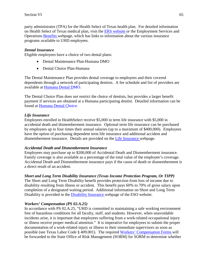party administrator (TPA) for the Health Select of Texas health plan. For detailed information on Health Select of Texas medical plan, visit the ERS website or the Employment Services and Operations Benefits webpage, which has links to information about the various insurance programs available to UHD employees.

## *Dental Insurance*

Eligible employees have a choice of two dental plans:

- Dental Maintenance Plan-Humana DMO
- Dental Choice Plan-Humana

The Dental Maintenance Plan provides dental coverage to employees and their covered dependents through a network of participating dentists. A fee schedule and list of providers are available at Humana Dental DMO.

The Dental Choice Plan does not restrict the choice of dentists, but provides a larger benefit payment if services are obtained at a Humana participating dentist. Detailed information can be found at Humana Dental Choice.

## *Life Insurance*

Employees enrolled in HealthSelect receive \$5,000 in term life insurance with \$5,000 in accidental death and dismemberment insurance. Optional term life insurance can be purchased by employees up to four times their annual salaries (up to a maximum of \$400,000). Employees have the option of purchasing dependent term life insurance and additional accident and dismemberment insurance. Details are provided on the Life Insurance webpage.

## *Accidental Death and Dismemberment Insurance*

Employees may purchase up to \$200,000 of Accidental Death and Dismemberment insurance. Family coverage is also available as a percentage of the total value of the employee's coverage. Accidental Death and Dismemberment insurance pays if the cause of death or dismemberment is a direct result of an accident.

## *Short and Long Term Disability Insurance (Texas Income Protection Program, Or TIPP)*

The Short and Long Term Disability benefit provides protection from loss of income due to disability resulting from illness or accident. This benefit pays 60% to 70% of gross salary upon completion of a designated waiting period. Additional information on Short and Long Term Disability is provided in the Disability Insurance webpage of the ESO website.

# *Workers' Compensation (PS 02.A.25)*

In accordance with PS 02.A.25, "UHD is committed to maintaining a safe working environment free of hazardous conditions for all faculty, staff, and students. However, when unavoidable incidents arise, it is important that employees suffering from a work-related occupational injury or illness receive proper medical attention." It is imperative for employees to submit the proper documentation of a work-related injury or illness to their immediate supervisors as soon as possible (see Texas Labor Code § 409.001). The required Workers' Compensation Forms will be forwarded to the State Office of Risk Management (SORM) for SORM to determine whether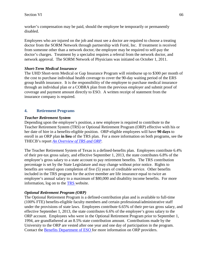worker's compensation may be paid, should the employee be temporarily or permanently disabled.

Employees who are injured on the job and must see a doctor are required to choose a treating doctor from the SORM Network through partnership with Forté, Inc. If treatment is received from someone other than a network doctor, the employee may be required to self-pay the doctor's charges. Treatment by a specialist requires a referral from the network doctor, and network approval. The SORM Network of Physicians was initiated on October 1, 2011.

#### *Short-Term Medical Insurance*

The UHD Short-term Medical or Gap Insurance Program will reimburse up to \$300 per month of the cost to purchase individual health coverage to cover the 90-day waiting period of the ERS group health insurance. It is the responsibility of the employee to purchase medical insurance through an individual plan or a COBRA plan from the previous employer and submit proof of coverage and payment amount directly to ESO. A written receipt of statement from the insurance company is required.

#### **4. Retirement Programs**

#### *Teacher Retirement System*

Depending upon the employee's position, a new employee is required to contribute to the Teacher Retirement System (TRS) or Optional Retirement Program (ORP) effective with his or her date of hire in a benefits-eligible position. ORP-eligible employees will have **90 days** to enroll in an ORP plan **in lieu** of the TRS plan. For a more information on both programs, see the THECB's report *An Overview of TRS and ORP*.

The Teacher Retirement System of Texas is a defined-benefits plan. Employees contribute 6.4% of their pre-tax gross salary, and effective September 1, 2013, the state contributes 6.8% of the employee's gross salary to a state account to pay retirement benefits. The TRS contribution percentage is set by the State Legislature and may change without prior notice. Rights to benefits are vested upon completion of five (5) years of creditable service. Other benefits included in the TRS program for the active member are life insurance equal to twice an employee's annual salary to a maximum of \$80,000 and disability income benefits. For more information, log on to the TRS website.

#### *Optional Retirement Program (ORP)*

The Optional Retirement Program is a defined-contribution plan and is available to full-time (100% FTE) benefits-eligible faculty members and certain professional/administrative staff under the provisions of state laws. Employees contribute 6.65% of their pre-tax gross salary, and effective September 1, 2013, the state contributes 6.6% of the employee's gross salary to the ORP account. Employees who were in the Optional Retirement Program prior to September 1, 1994, are grandfathered at an 8.5% state contribution amount. Contributions made by the University to the ORP are vested after one year and one day of participation in the program. Contact the Benefits Department of ESO for more information on ORP providers.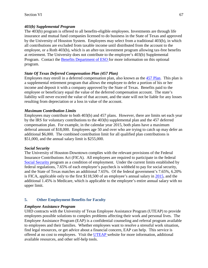### *403(b) Supplemental Program*

The 403(b) program is offered to all benefits-eligible employees. Investments are through life insurance and mutual fund companies licensed to do business in the State of Texas and approved by the University of Houston System. Employees may select from a traditional 403(b), in which all contributions are excluded from taxable income until distributed from the account to the employee, or a Roth 403(b), which is an after-tax investment program allowing tax-free benefits at retirement. The University does not contribute to the employee's 403(b) Supplemental Program. Contact the Benefits Department of ESO for more information on this optional program.

#### *State Of Texas Deferred Compensation Plan (457 Plan)*

Employees may enroll in a deferred compensation plan, also known as the 457 Plan. This plan is a supplemental retirement program that allows the employee to defer a portion of his or her income and deposit it with a company approved by the State of Texas. Benefits paid to the employee or beneficiary equal the value of the deferred compensation account. The state's liability will never exceed the value of that account, and the state will not be liable for any losses resulting from depreciation or a loss in value of the account.

#### *Maximum Contribution Limits*

Employees may contribute to both 403(b) and 457 plans. However, there are limits set each year by the IRS for voluntary contributions to the 403(b) supplemental plan and the 457 deferred compensation plan. For example, in the calendar year 2015, both plans have a maximum deferral amount of \$18,000. Employees age 50 and over who are trying to catch up may defer an additional \$6,000. The combined contribution limit for all qualified plan contributions is \$51,000, and the annual salary limit is \$255,000.

#### *Social Security*

The University of Houston-Downtown complies with the relevant provisions of the Federal Insurance Contributions Act (FICA). All employees are required to participate in the federal Social Security program as a condition of employment. Under the current limits established by federal regulations, 7.65% of each employee's paycheck is withheld to pay for social security, and the State of Texas matches an additional 7.65%. Of the federal government's 7.65%, 6.20% is FICA, applicable only to the first \$118,500 of an employee's annual salary in 2015, and the additional 1.45% is Medicare, which is applicable to the employee's entire annual salary with no upper limit.

## **5. Other Employment Benefits for Faculty**

#### *Employee Assistance Program*

UHD contracts with the University of Texas Employee Assistance Program (UTEAP) to provide employees possible solutions to complex problems affecting their work and personal lives. The Employee Assistance Program (EAP) is a confidential counseling and referral program available to employees and their families. Whether employees want to resolve a stressful work situation, find legal resources, or get advice about a financial concern, EAP can help. This service is offered at no cost to employees. Visit the UTEAP website for more information, additional available resources, and other self-help tools.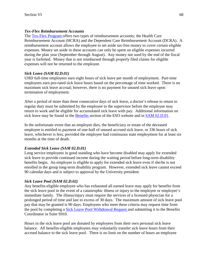## *Tex-Flex Reimbursement Accounts*

The Tex-Flex Program offers two types of reimbursement accounts; the Health Care Reimbursement Account (HCRA) and the Dependent Care Reimbursement Account (DCRA). A reimbursement account allows the employee to set aside tax-free money to cover certain eligible expenses. Money set aside in these accounts can only be spent on eligible expenses incurred during the plan year (September through August). Any money not used by the end of the fiscal year is forfeited. Money that is not reimbursed through properly filed claims for eligible expenses will not be returned to the employee.

## *Sick Leave (SAM 02.D.01)*

UHD full-time employees earn eight hours of sick leave per month of employment. Part-time employees earn pro-rated sick leave hours based on the percentage of time worked. There is no maximum sick leave accrual; however, there is no payment for unused sick leave upon termination of employment.

After a period of more than three consecutive days of sick leave, a doctor's release to return to regular duty must be submitted by the employee to the supervisor before the employee may return to work and be eligible for accumulated sick leave with pay. Additional information on sick leave may be found in the Benefits section of the ESO website and in SAM 02.D.01.

In the unfortunate event that an employee dies, the beneficiary or estate of the deceased employee is entitled to payment of one-half of unused accrued sick leave, or 336 hours of sick leave, whichever is less, provided the employee had continuous state employment for at least six months at the time of death.

# *Extended Sick Leave (SAM 02.D.01)*

Long service employees in good standing who have become disabled may apply for extended sick leave to provide continued income during the waiting period before long-term disability benefits begin. An employee is eligible to apply for extended sick leave even if she/he is not enrolled in the group long-term disability program. However, extended sick leave cannot exceed 90 calendar days and is subject to approval by the University president.

# *Sick Leave Pool (SAM 02.D.02)*

Any benefits-eligible employee who has exhausted all earned leave may apply for benefits from the sick leave pool in the event of a catastrophic illness or injury to the employee or employee's immediate family. The illness/injury must require the services of a licensed physician for a prolonged period of time and last in excess of 30 days. The maximum amount of sick leave pool pay that may be granted is 90 days. Employees who meet these criteria may request time from the pool by completing a Sick Leave Pool Withdrawal Request and submitting it to the Benefits Coordinator in Suite S910.

Hours in the sick leave pool are donated by employees from their own personal sick leave balance. All benefits-eligible employees may voluntarily transfer sick leave hours from their accrued balance to the sick leave pool. There is no limit on the number of hours an employee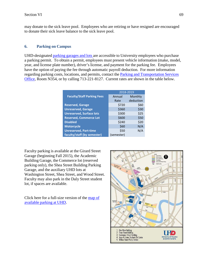may donate to the sick leave pool. Employees who are retiring or have resigned are encouraged to donate their sick leave balance to the sick leave pool.

#### **6. Parking on Campus**

UHD-designated parking garages and lots are accessible to University employees who purchase a parking permit. To obtain a permit, employees must present vehicle information (make, model, year, and license plate number), driver's license, and payment for the parking fee. Employees have the option of paying the fee through automatic payroll deduction. For more information regarding parking costs, locations, and permits, contact the **Parking and Transportation Services** Office, Room N354, or by calling 713-221-8127. Current rates are shown in the table below.

|                                   | 2018-2019  |           |
|-----------------------------------|------------|-----------|
| <b>Faculty/Staff Parking Fees</b> | Annual     | Monthly   |
|                                   | Rate       | deduction |
| <b>Reserved, Garage</b>           | \$720      | \$60      |
| <b>Unreserved, Garage</b>         | \$360      | \$30      |
| <b>Unreserved, Surface lots</b>   | \$300      | \$25      |
| <b>Reserved, Commerce Lot</b>     | \$600      | \$50      |
| <b>Disabled</b>                   | \$240      | \$20      |
| <b>Motorcycle</b>                 | \$60       | N/A       |
| <b>Unreserved, Part-time</b>      | \$50       | N/A       |
| faculty/staff (by semester)       | (semester) |           |

Faculty parking is available at the Girard Street Garage (beginning Fall 2015), the Academic Building Garage, the Commerce lot (reserved parking only), the Shea Street Building Parking Garage, and the auxiliary UHD lots at Washington Street, Shea Street, and Wood Street. Faculty may also park in the Daly Street student lot, if spaces are available.

Click here for a full-size version of the map of available parking at UHD.

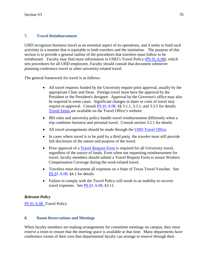# **7. Travel Reimbursement**

UHD recognizes business travel as an essential aspect of its operations, and it seeks to fund such activities in a manner that is equitable to both travelers and the institution. The purpose of this section is to provide a general outline of the procedures that travelers must follow to be reimbursed. Faculty may find more information in UHD's Travel Policy (PS 01.A.08), which sets procedures for all UHD employees. Faculty should consult that document whenever planning conference travel or other university-related travel.

The general framework for travel is as follows:

- All travel requests funded by the University require prior approval, usually by the appropriate Chair and Dean. Foreign travel must have the approval by the President or the President's designee. Approval by the Governor's office may also be required in some cases. Significant changes in dates or costs of travel may require re-approval. Consult PS 01.A.08, §§ 3.1.1, 3.3.1, and 3.3.5 for details. Travel forms are available on the Travel Office's website.
- IRS rules and university policy handle travel reimbursement differently when a trip combines business and personal travel. Consult section 3.2.1 for details.
- All travel arrangements should be made through the UHD Travel Office.
- In cases where travel is to be paid by a third party, the traveler must still provide full disclosure of the nature and purpose of the travel.
- Prior approval of a Travel Request Form is required for all University travel, regardless of the source of funds. Even when not requesting reimbursement for travel, faculty members should submit a Travel Request Form to insure Workers Compensation Coverage during the work-related travel.
- Travelers must document all expenses on a State of Texas Travel Voucher. See PS 01.A.08, §4.1 for details.
- Failure to comply with the Travel Policy will result in an inability to recover travel expenses. See PS 01.A.08, §3.11.

# *Relevant Policy*

PS 01.A.08 Travel Policy

## **8. Room Reservations and Meetings**

When faculty members are making arrangements for committee meetings on campus, they must reserve a room to ensure that the meeting space is available at that time. Many departments have conference rooms of their own that departmental faculty can arrange to reserve through their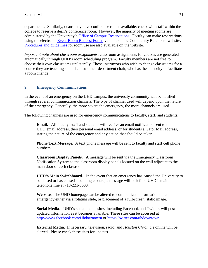departments. Similarly, deans may have conference rooms available; check with staff within the college to reserve a dean's conference room. However, the majority of meeting rooms are administered by the University's Office of Campus Reservations. Faculty can make reservations using the electronic Event Room Request Form available on the Community Relations' website. Procedures and guidelines for room use are also available on the website.

*Important note about classroom assignments*: classroom assignments for courses are generated automatically through UHD's room scheduling program. Faculty members are not free to choose their own classrooms unilaterally. Those instructors who wish to change classrooms for a course they are teaching should consult their department chair, who has the authority to facilitate a room change.

## **9. Emergency Communications**

In the event of an emergency on the UHD campus, the university community will be notified through several communication channels. The type of channel used will depend upon the nature of the emergency. Generally, the more severe the emergency, the more channels are used.

The following channels are used for emergency communications to faculty, staff, and students:

**Email.** All faculty, staff and students will receive an email notification sent to their UHD email address, their personal email address, or for students a Gator Mail address, stating the nature of the emergency and any action that should be taken**.**

**Phone Text Message.** A text phone message will be sent to faculty and staff cell phone numbers.

**Classroom Display Panels.** A message will be sent via the Emergency Classroom Notification System to the classroom display panels located on the wall adjacent to the main door of each classroom.

**UHD's Main Switchboard.** In the event that an emergency has caused the University to be closed or has caused a pending closure, a message will be left on UHD's main telephone line at 713-221-8000.

**Website**. The UHD homepage can be altered to communicate information on an emergency either via a rotating slide, or placement of a full-screen, static image.

**Social Media**. UHD's social media sites, including Facebook and Twitter, will post updated information as it becomes available. These sites can be accessed at [http://www.facebook.com/Uhdowntown o](http://www.facebook.com/Uhdowntown)r https://twitter.com/uhdowntown.

**External Media.** If necessary, television, radio, and *Houston Chronicle* online will be alerted. Please check these sites for updates.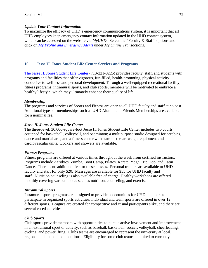## *Update Your Contact Information*

To maximize the efficacy of UHD's emergency communications system, it is important that all UHD employees keep emergency contact information updated in the UHD contact system, which can be accessed on the website via *MyUHD*. Select the "Faculty & Staff" options and click on *My Profile and Emergency Alerts* under *My Online Transactions*.

# **10. Jesse H. Jones Student Life Center Services and Programs**

The Jesse H. Jones Student Life Center (713-221-8225) provides faculty, staff, and students with programs and facilities that offer vigorous, fun-filled, health-promoting, physical activity conducive to wellness and personal development. Through a well-equipped recreational facility, fitness programs, intramural sports, and club sports, members will be motivated to embrace a healthy lifestyle, which may ultimately enhance their quality of life.

## *Membership*

The programs and services of Sports and Fitness are open to all UHD faculty and staff at no cost. Additional types of memberships such as UHD Alumni and Friends Memberships are available for a nominal fee.

## *Jesse H. Jones Student Life Center*

The three-level, 30,000-square-foot Jesse H. Jones Student Life Center includes two courts equipped for basketball, volleyball, and badminton; a multipurpose studio designed for aerobics, dance and martial arts; and a fitness center with state-of-the-art weight equipment and cardiovascular units. Lockers and showers are available.

## *Fitness Programs*

Fitness programs are offered at various times throughout the week from certified instructors. Programs include Aerobics, Zumba, Boot Camp, Pilates, Karate, Yoga, Hip Hop, and Latin Dance. There is no additional fee for these classes. Personal trainers are available to UHD faculty and staff for only \$20. Massages are available for \$35 for UHD faculty and staff. Nutrition counseling is also available free of charge. Healthy workshops are offered monthly covering various topics such as nutrition, counseling, and exercise.

## *Intramural Sports*

Intramural sports programs are designed to provide opportunities for UHD members to participate in organized sports activities. Individual and team sports are offered in over 12 different sports. Leagues are created for competitive and casual participants alike, and there are several co-ed activities.

# *Club Sports*

Club sports provide members with opportunities to pursue active involvement and improvement in an extramural sport or activity, such as baseball, basketball, soccer, volleyball, cheerleading, cycling, and powerlifting. Clubs teams are encouraged to represent the university at local, regional and national competitions. Eligibility for some club teams is limited to currently